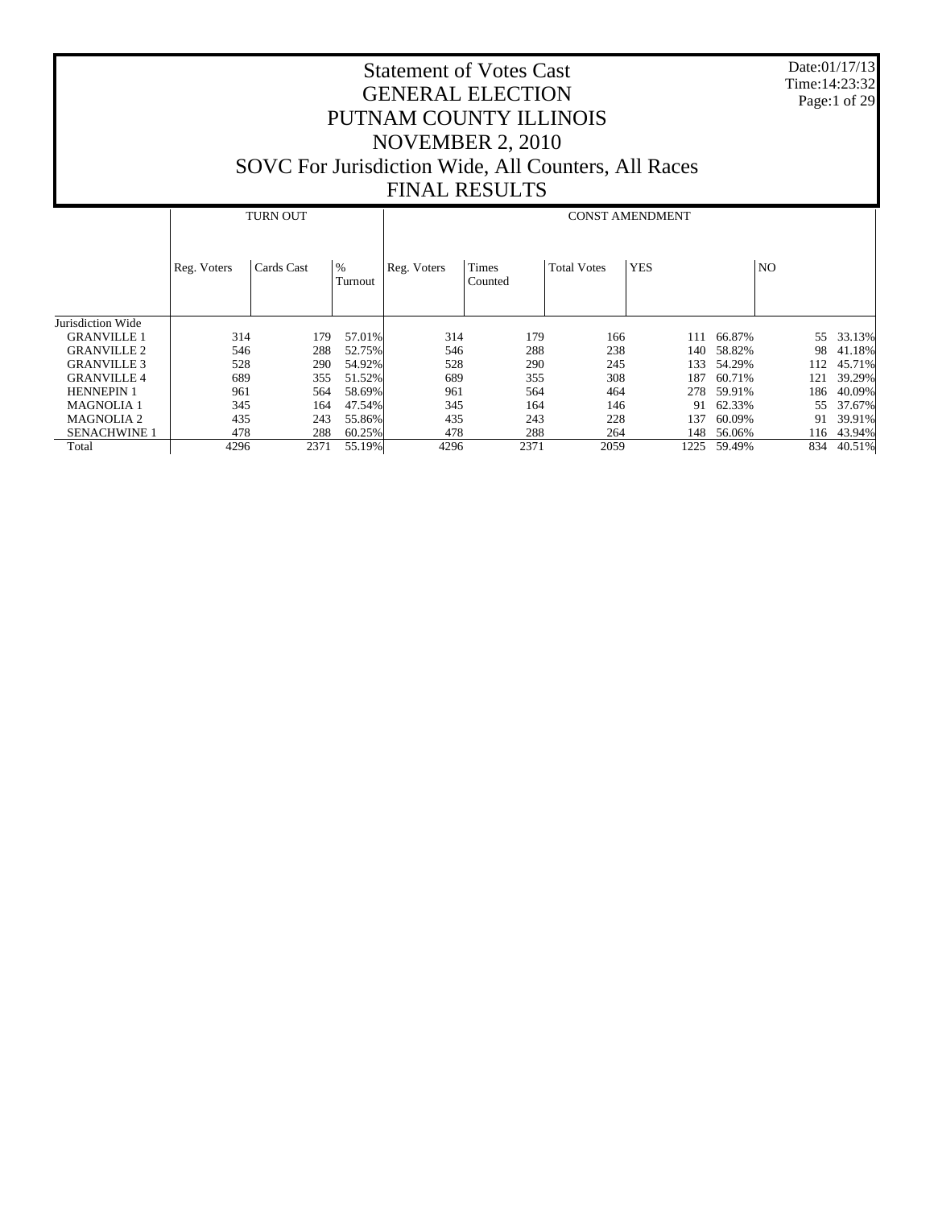Date:01/17/13 Time:14:23:32 Page:1 of 29

|                     |             | <b>TURN OUT</b> |                 |             | <b>CONST AMENDMENT</b> |                    |            |           |     |        |  |  |  |
|---------------------|-------------|-----------------|-----------------|-------------|------------------------|--------------------|------------|-----------|-----|--------|--|--|--|
|                     | Reg. Voters | Cards Cast      | $\%$<br>Turnout | Reg. Voters | Times<br>Counted       | <b>Total Votes</b> | <b>YES</b> | <b>NO</b> |     |        |  |  |  |
| Jurisdiction Wide   |             |                 |                 |             |                        |                    |            |           |     |        |  |  |  |
| <b>GRANVILLE 1</b>  | 314         | 179             | 57.01%          | 314         | 179                    | 166                | 111        | 66.87%    | 55  | 33.13% |  |  |  |
| <b>GRANVILLE 2</b>  | 546         | 288             | 52.75%          | 546         | 288                    | 238                | 140        | 58.82%    | 98  | 41.18% |  |  |  |
| <b>GRANVILLE 3</b>  | 528         | 290             | 54.92%          | 528         | 290                    | 245                | 133        | 54.29%    | 112 | 45.71% |  |  |  |
| <b>GRANVILLE 4</b>  | 689         | 355             | 51.52%          | 689         | 355                    | 308                | 187        | 60.71%    | 121 | 39.29% |  |  |  |
| <b>HENNEPIN 1</b>   | 961         | 564             | 58.69%          | 961         | 564                    | 464                | 278        | 59.91%    | 186 | 40.09% |  |  |  |
| <b>MAGNOLIA1</b>    | 345         | 164             | 47.54%          | 345         | 164                    | 146                | 91         | 62.33%    | 55  | 37.67% |  |  |  |
| <b>MAGNOLIA 2</b>   | 435         | 243             | 55.86%          | 435         | 243                    | 228                | 137        | 60.09%    | 91  | 39.91% |  |  |  |
| <b>SENACHWINE 1</b> | 478         | 288             | 60.25%          | 478         | 288                    | 264                | 148        | 56.06%    | 116 | 43.94% |  |  |  |
| Total               | 4296        | 2371            | 55.19%          | 4296        | 2371                   | 2059               | 1225       | 59.49%    | 834 | 40.51% |  |  |  |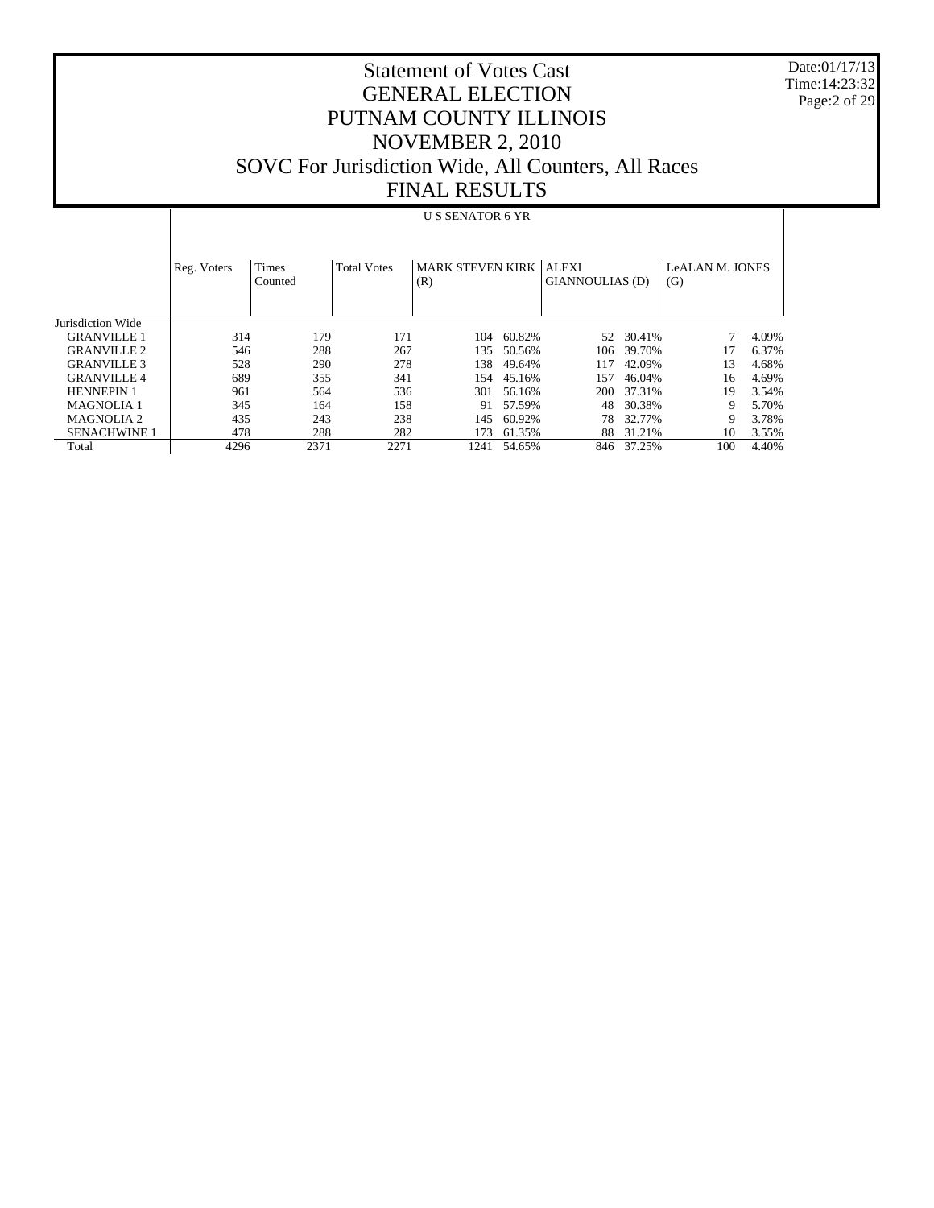Date:01/17/13 Time:14:23:32 Page:2 of 29

# Statement of Votes Cast GENERAL ELECTION PUTNAM COUNTY ILLINOIS NOVEMBER 2, 2010 SOVC For Jurisdiction Wide, All Counters, All Races FINAL RESULTS

#### U S SENATOR 6 YR

|                     | Reg. Voters | <b>Times</b><br>Counted | <b>Total Votes</b> | MARK STEVEN KIRK   ALEXI<br>(R) |        | GIANNOULIAS (D) |        | <b>LeALAN M. JONES</b><br>(G) |       |
|---------------------|-------------|-------------------------|--------------------|---------------------------------|--------|-----------------|--------|-------------------------------|-------|
| Jurisdiction Wide   |             |                         |                    |                                 |        |                 |        |                               |       |
| <b>GRANVILLE 1</b>  | 314         | 179                     | 171                | 104                             | 60.82% | 52              | 30.41% |                               | 4.09% |
| <b>GRANVILLE 2</b>  | 546         | 288                     | 267                | 135                             | 50.56% | 106             | 39.70% | 17                            | 6.37% |
| <b>GRANVILLE 3</b>  | 528         | 290                     | 278                | 138                             | 49.64% | 117             | 42.09% | 13                            | 4.68% |
| <b>GRANVILLE4</b>   | 689         | 355                     | 341                | 154                             | 45.16% | 157             | 46.04% | 16                            | 4.69% |
| <b>HENNEPIN 1</b>   | 961         | 564                     | 536                | 301                             | 56.16% | 200             | 37.31% | 19                            | 3.54% |
| <b>MAGNOLIA1</b>    | 345         | 164                     | 158                | 91                              | 57.59% | 48              | 30.38% | 9                             | 5.70% |
| MAGNOLIA 2          | 435         | 243                     | 238                | 145                             | 60.92% | 78              | 32.77% | 9                             | 3.78% |
| <b>SENACHWINE 1</b> | 478         | 288                     | 282                | 173                             | 61.35% | 88              | 31.21% | 10                            | 3.55% |
| Total               | 4296        | 2371                    | 2271               | 1241                            | 54.65% | 846             | 37.25% | 100                           | 4.40% |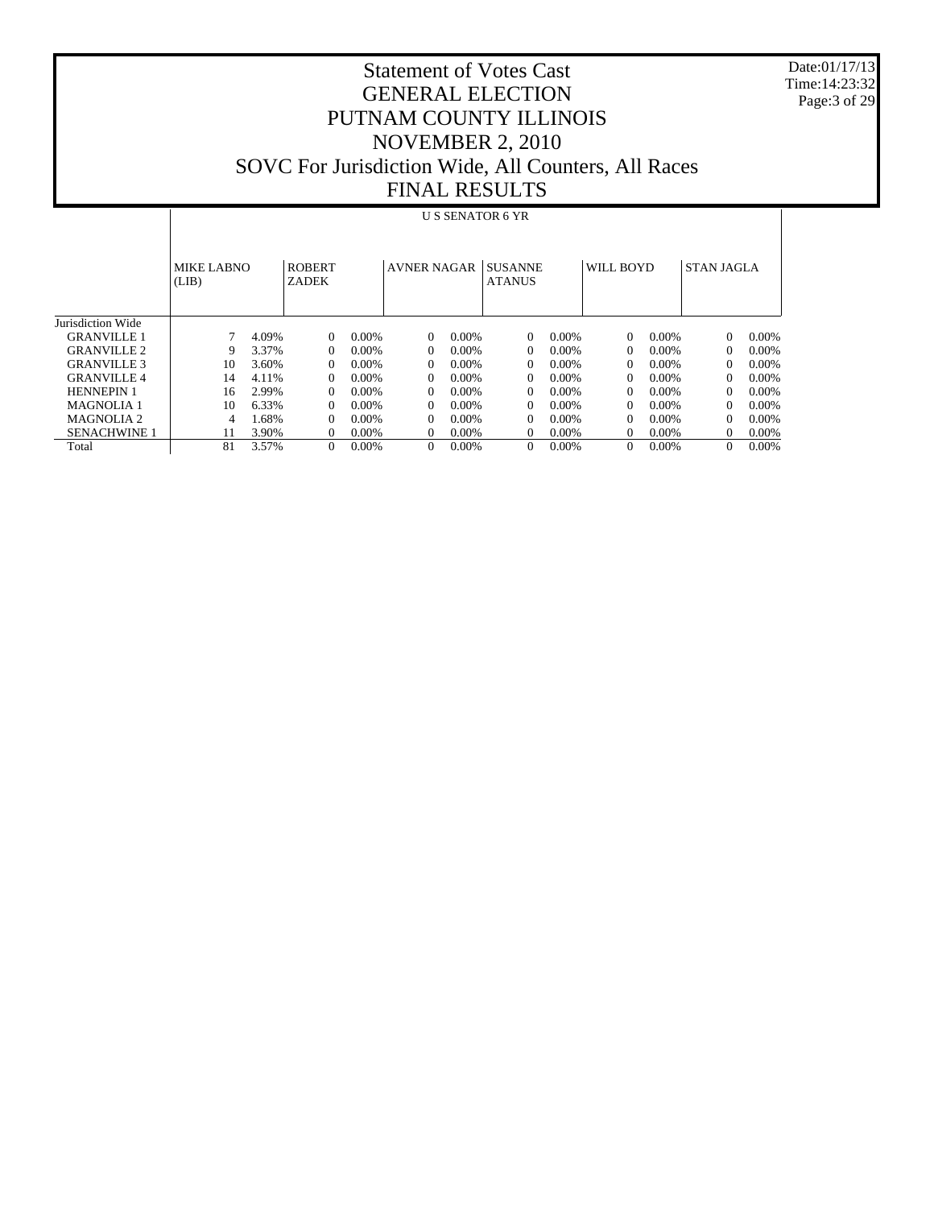Date:01/17/13 Time:14:23:32 Page:3 of 29

|                     |                            | <b>US SENATOR 6 YR</b> |                               |          |                    |          |                                 |          |           |          |                   |          |
|---------------------|----------------------------|------------------------|-------------------------------|----------|--------------------|----------|---------------------------------|----------|-----------|----------|-------------------|----------|
|                     | <b>MIKE LABNO</b><br>(LIB) |                        | <b>ROBERT</b><br><b>ZADEK</b> |          | <b>AVNER NAGAR</b> |          | <b>SUSANNE</b><br><b>ATANUS</b> |          | WILL BOYD |          | <b>STAN JAGLA</b> |          |
| Jurisdiction Wide   |                            |                        |                               |          |                    |          |                                 |          |           |          |                   |          |
| <b>GRANVILLE 1</b>  |                            | 4.09%                  | $\Omega$                      | $0.00\%$ | $\Omega$           | $0.00\%$ | 0                               | $0.00\%$ | $\Omega$  | 0.00%    | $\Omega$          | $0.00\%$ |
| <b>GRANVILLE 2</b>  | 9                          | 3.37%                  | $\Omega$                      | 0.00%    | $\Omega$           | $0.00\%$ | 0                               | $0.00\%$ | $\Omega$  | $0.00\%$ | $\Omega$          | $0.00\%$ |
| <b>GRANVILLE 3</b>  | 10                         | 3.60%                  | $\Omega$                      | $0.00\%$ | $\Omega$           | $0.00\%$ | $\Omega$                        | $0.00\%$ | $\Omega$  | $0.00\%$ | 0                 | $0.00\%$ |
| <b>GRANVILLE4</b>   | 14                         | 4.11%                  | 0                             | $0.00\%$ | $\Omega$           | $0.00\%$ | $\Omega$                        | $0.00\%$ | $\Omega$  | $0.00\%$ | $^{0}$            | $0.00\%$ |
| <b>HENNEPIN 1</b>   | 16                         | 2.99%                  | $\theta$                      | $0.00\%$ | $\Omega$           | $0.00\%$ | $\Omega$                        | $0.00\%$ | $\Omega$  | $0.00\%$ | $\Omega$          | $0.00\%$ |
| MAGNOLIA 1          | 10                         | 6.33%                  | $\Omega$                      | $0.00\%$ | $\Omega$           | $0.00\%$ | $\Omega$                        | $0.00\%$ | $\Omega$  | $0.00\%$ | $^{0}$            | $0.00\%$ |
| <b>MAGNOLIA 2</b>   | 4                          | .68%                   | $\Omega$                      | $0.00\%$ | $\Omega$           | $0.00\%$ | $\Omega$                        | $0.00\%$ | $\Omega$  | $0.00\%$ | $\Omega$          | $0.00\%$ |
| <b>SENACHWINE 1</b> |                            | 3.90%                  | $\Omega$                      | 0.00%    | $\theta$           | $0.00\%$ | $\Omega$                        | $0.00\%$ | $\Omega$  | $0.00\%$ | $\Omega$          | $0.00\%$ |
| Total               | 81                         | 3.57%                  | $\Omega$                      | 0.00%    | $\mathbf{0}$       | $0.00\%$ | 0                               | $0.00\%$ | $\Omega$  | $0.00\%$ | $\Omega$          | $0.00\%$ |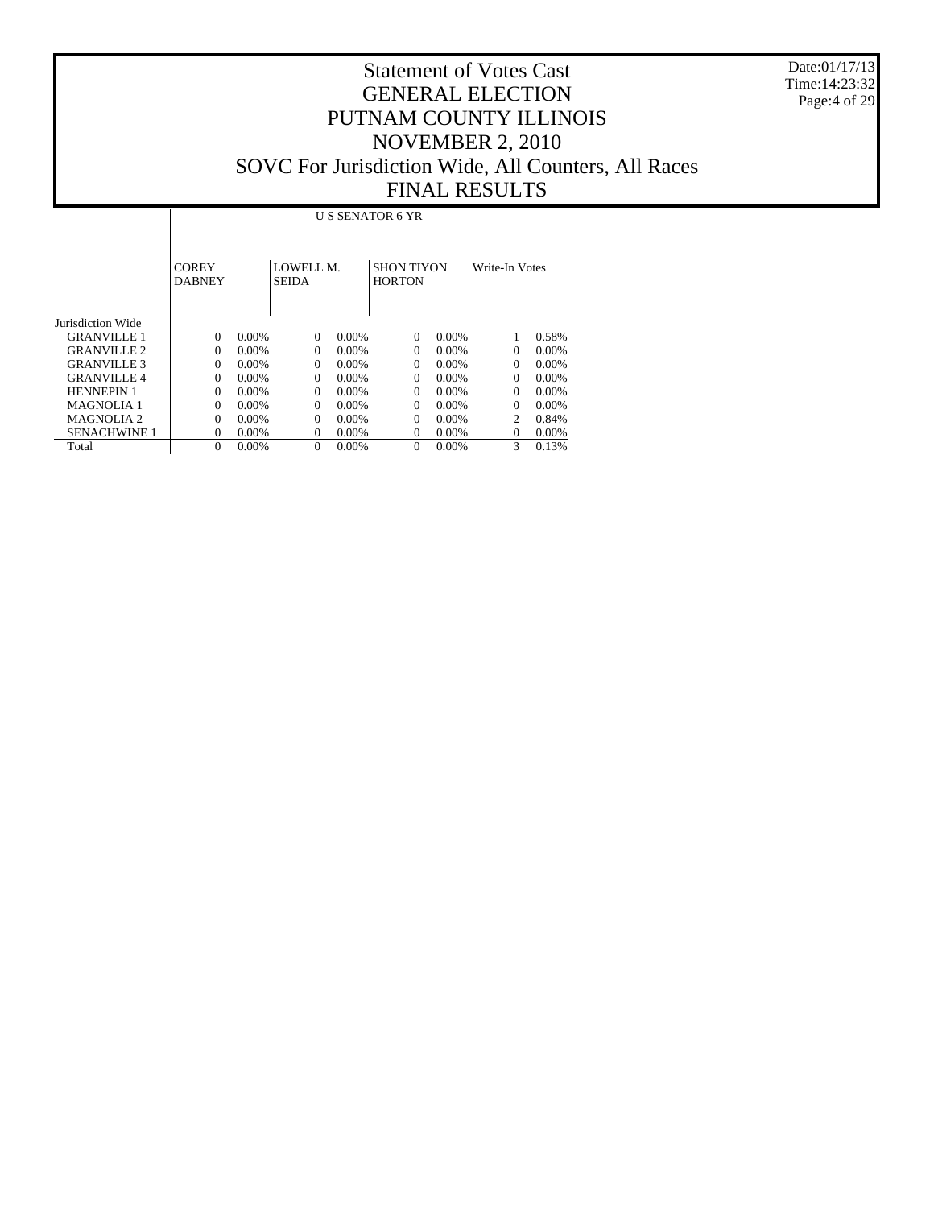Date:01/17/13 Time:14:23:32 Page:4 of 29

|                       |                               | <b>US SENATOR 6 YR</b> |                           |          |                                    |          |                |          |  |  |  |
|-----------------------|-------------------------------|------------------------|---------------------------|----------|------------------------------------|----------|----------------|----------|--|--|--|
|                       | <b>COREY</b><br><b>DABNEY</b> |                        | LOWELL M.<br><b>SEIDA</b> |          | <b>SHON TIYON</b><br><b>HORTON</b> |          | Write-In Votes |          |  |  |  |
| Jurisdiction Wide     |                               |                        |                           |          |                                    |          |                |          |  |  |  |
| GRANVILLE 1           | $\Omega$                      | $0.00\%$               | $\Omega$                  | $0.00\%$ | $\Omega$                           | $0.00\%$ |                | 0.58%    |  |  |  |
| <b>GRANVILLE 2</b>    | 0                             | $0.00\%$               | $\Omega$                  | 0.00%    | $\Omega$                           | $0.00\%$ | $\Omega$       | $0.00\%$ |  |  |  |
| <b>GRANVILLE 3</b>    | 0                             | $0.00\%$               | $\Omega$                  | $0.00\%$ | $\Omega$                           | 0.00%    | $\Omega$       | $0.00\%$ |  |  |  |
| <b>GRANVILLE 4</b>    | 0                             | $0.00\%$               | $\Omega$                  | $0.00\%$ | $\Omega$                           | 0.00%    | $\Omega$       | $0.00\%$ |  |  |  |
| <b>HENNEPIN 1</b>     | $\Omega$                      | $0.00\%$               | $\Omega$                  | 0.00%    | $\Omega$                           | $0.00\%$ | $\Omega$       | $0.00\%$ |  |  |  |
| <b>MAGNOLIA 1</b>     | $\Omega$                      | $0.00\%$               | $\Omega$                  | $0.00\%$ | $\Omega$                           | $0.00\%$ | $\Omega$       | $0.00\%$ |  |  |  |
| MAGNOLIA <sub>2</sub> | $\Omega$                      | $0.00\%$               | $\Omega$                  | 0.00%    | $\Omega$                           | $0.00\%$ | $\overline{c}$ | 0.84%    |  |  |  |
| <b>SENACHWINE 1</b>   | 0                             | $0.00\%$               | $\Omega$                  | 0.00%    | $\Omega$                           | $0.00\%$ | $\Omega$       | $0.00\%$ |  |  |  |
| Total                 | $\Omega$                      | 0.00%                  | $\Omega$                  | 0.00%    | $\Omega$                           | $0.00\%$ | 3              | 0.13%    |  |  |  |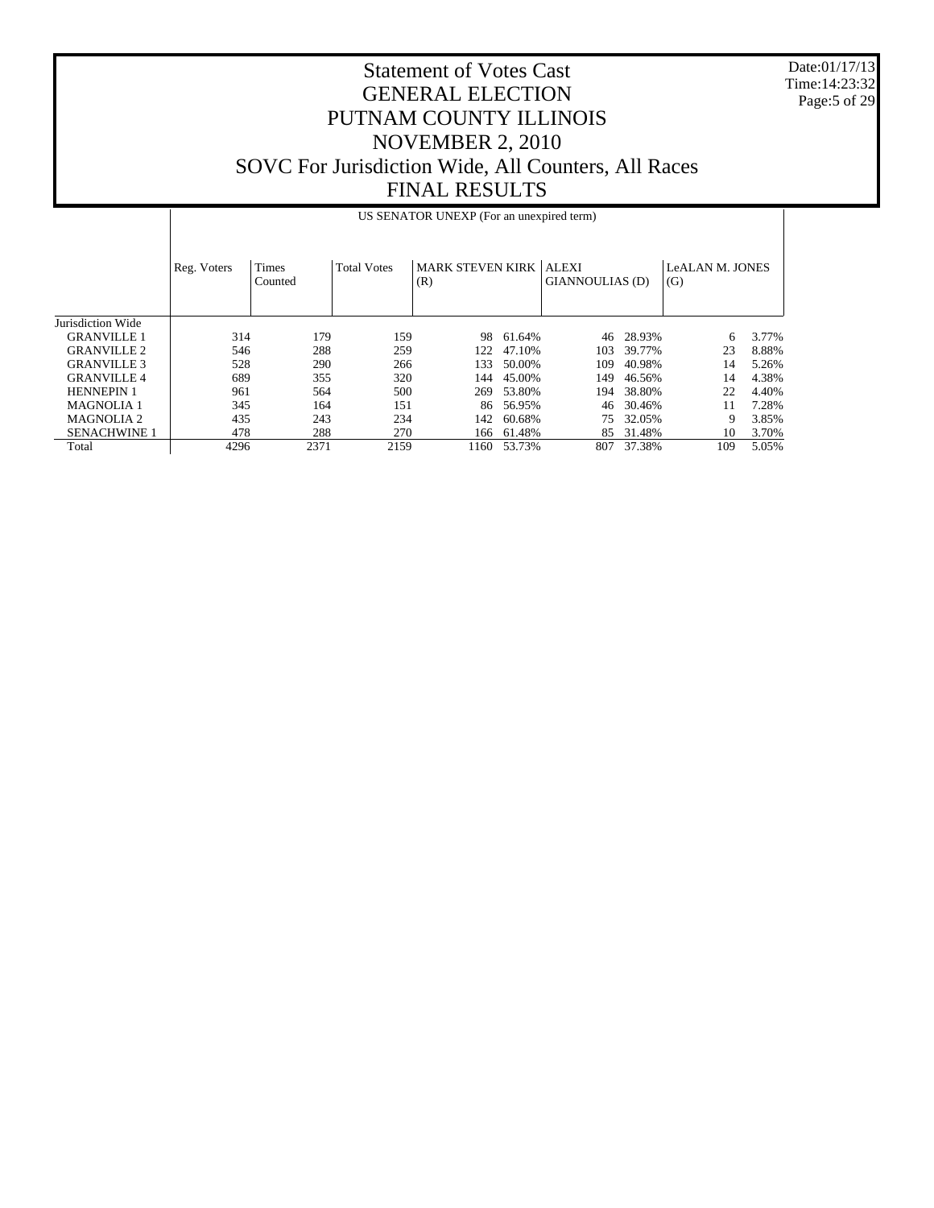Date:01/17/13 Time:14:23:32 Page:5 of 29

|                     |             | US SENATOR UNEXP (For an unexpired term) |                    |                                        |        |                 |        |                               |       |  |  |
|---------------------|-------------|------------------------------------------|--------------------|----------------------------------------|--------|-----------------|--------|-------------------------------|-------|--|--|
|                     | Reg. Voters | <b>Times</b><br>Counted                  | <b>Total Votes</b> | <b>MARK STEVEN KIRK   ALEXI</b><br>(R) |        | GIANNOULIAS (D) |        | <b>LeALAN M. JONES</b><br>(G) |       |  |  |
| Jurisdiction Wide   |             |                                          |                    |                                        |        |                 |        |                               |       |  |  |
| <b>GRANVILLE 1</b>  | 314         | 179                                      | 159                | 98                                     | 61.64% | 46              | 28.93% | 6                             | 3.77% |  |  |
| <b>GRANVILLE 2</b>  | 546         | 288                                      | 259                | 122                                    | 47.10% | 103             | 39.77% | 23                            | 8.88% |  |  |
| <b>GRANVILLE 3</b>  | 528         | 290                                      | 266                | 133                                    | 50.00% | 109             | 40.98% | 14                            | 5.26% |  |  |
| <b>GRANVILLE4</b>   | 689         | 355                                      | 320                | 144                                    | 45.00% | 149             | 46.56% | 14                            | 4.38% |  |  |
| <b>HENNEPIN 1</b>   | 961         | 564                                      | 500                | 269                                    | 53.80% | 194             | 38.80% | 22                            | 4.40% |  |  |
| <b>MAGNOLIA 1</b>   | 345         | 164                                      | 151                | 86                                     | 56.95% | 46              | 30.46% | 11                            | 7.28% |  |  |
| <b>MAGNOLIA 2</b>   | 435         | 243                                      | 234                | 142                                    | 60.68% | 75              | 32.05% | 9                             | 3.85% |  |  |
| <b>SENACHWINE 1</b> | 478         | 288                                      | 270                | 166                                    | 61.48% | 85              | 31.48% | 10                            | 3.70% |  |  |
| Total               | 4296        | 2371                                     | 2159               | 1160                                   | 53.73% | 807             | 37.38% | 109                           | 5.05% |  |  |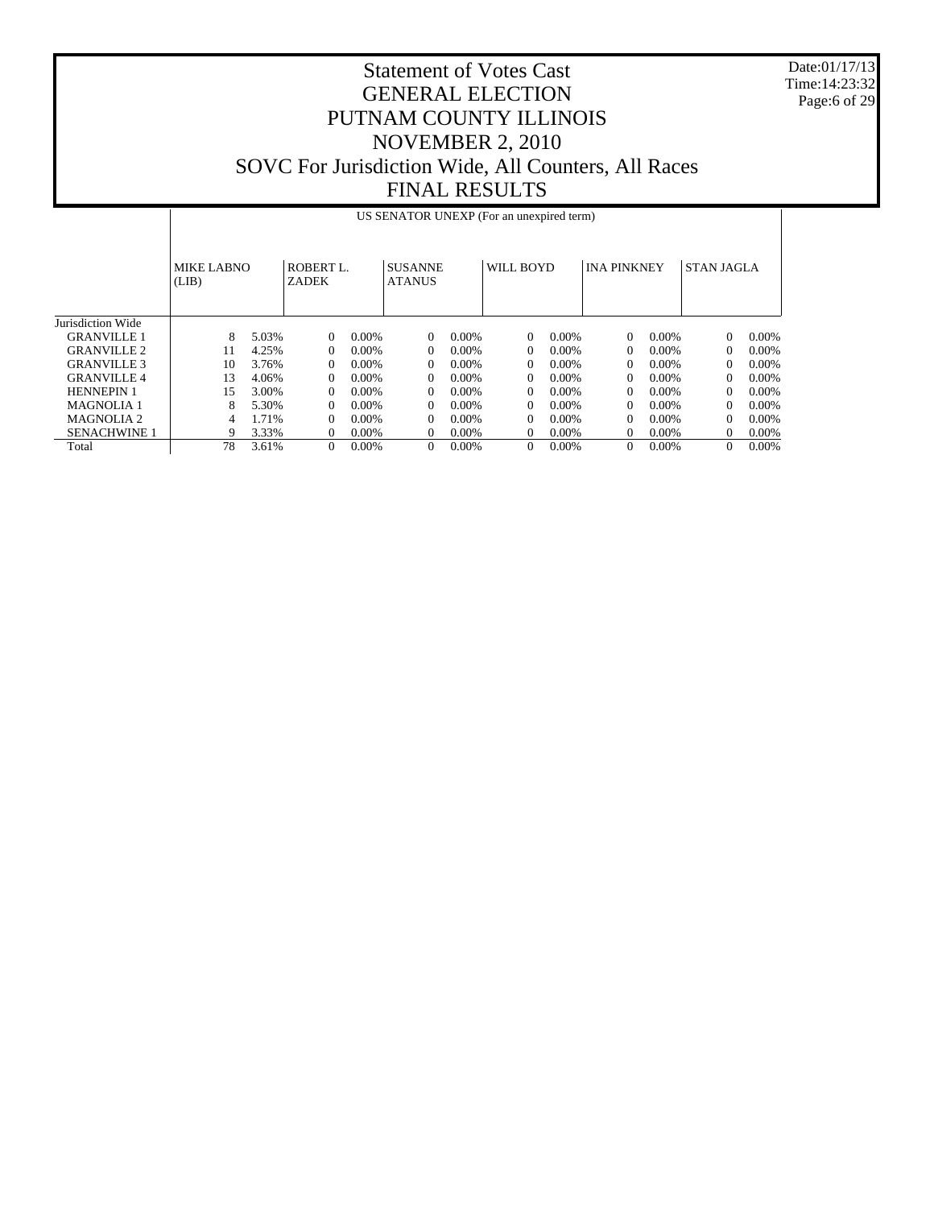Date:01/17/13 Time:14:23:32 Page:6 of 29

|                     |                     | US SENATOR UNEXP (For an unexpired term) |                    |          |                                 |          |              |          |                    |          |                   |          |
|---------------------|---------------------|------------------------------------------|--------------------|----------|---------------------------------|----------|--------------|----------|--------------------|----------|-------------------|----------|
|                     | MIKE LABNO<br>(LIB) |                                          | ROBERT L.<br>ZADEK |          | <b>SUSANNE</b><br><b>ATANUS</b> |          | WILL BOYD    |          | <b>INA PINKNEY</b> |          | <b>STAN JAGLA</b> |          |
| Jurisdiction Wide   |                     |                                          |                    |          |                                 |          |              |          |                    |          |                   |          |
| <b>GRANVILLE 1</b>  | 8                   | 5.03%                                    | $\theta$           | $0.00\%$ | $\overline{0}$                  | $0.00\%$ | $\theta$     | $0.00\%$ | $\overline{0}$     | $0.00\%$ | $\theta$          | 0.00%    |
| <b>GRANVILLE 2</b>  | 11                  | 4.25%                                    | $\overline{0}$     | $0.00\%$ | $\overline{0}$                  | $0.00\%$ | $\mathbf{0}$ | $0.00\%$ | $\Omega$           | $0.00\%$ | 0                 | $0.00\%$ |
| <b>GRANVILLE 3</b>  | 10                  | 3.76%                                    | $\theta$           | $0.00\%$ | $\overline{0}$                  | $0.00\%$ | $\Omega$     | $0.00\%$ | $\Omega$           | $0.00\%$ | 0                 | $0.00\%$ |
| <b>GRANVILLE4</b>   | 13                  | 4.06%                                    | $\Omega$           | $0.00\%$ | $\overline{0}$                  | $0.00\%$ | $\Omega$     | $0.00\%$ | $\Omega$           | $0.00\%$ | $\Omega$          | $0.00\%$ |
| <b>HENNEPIN 1</b>   | 15                  | 3.00%                                    | $\Omega$           | $0.00\%$ | $\overline{0}$                  | $0.00\%$ | $\Omega$     | $0.00\%$ | $\Omega$           | $0.00\%$ | $\Omega$          | $0.00\%$ |
| <b>MAGNOLIA 1</b>   | 8                   | 5.30%                                    | $\Omega$           | $0.00\%$ | $\overline{0}$                  | $0.00\%$ | $\Omega$     | $0.00\%$ | $\Omega$           | $0.00\%$ | $\Omega$          | $0.00\%$ |
| MAGNOLIA 2          | 4                   | 1.71%                                    | $\Omega$           | $0.00\%$ | $\Omega$                        | $0.00\%$ | $\theta$     | $0.00\%$ | $\theta$           | $0.00\%$ | 0                 | $0.00\%$ |
| <b>SENACHWINE 1</b> | 9                   | 3.33%                                    | $\Omega$           | $0.00\%$ | $\Omega$                        | 0.00%    | $\Omega$     | $0.00\%$ | $\Omega$           | $0.00\%$ | $\Omega$          | $0.00\%$ |
| Total               | 78                  | 3.61%                                    | $\theta$           | $0.00\%$ | $\overline{0}$                  | $0.00\%$ | $\Omega$     | 0.00%    | $\Omega$           | $0.00\%$ | $\Omega$          | 0.00%    |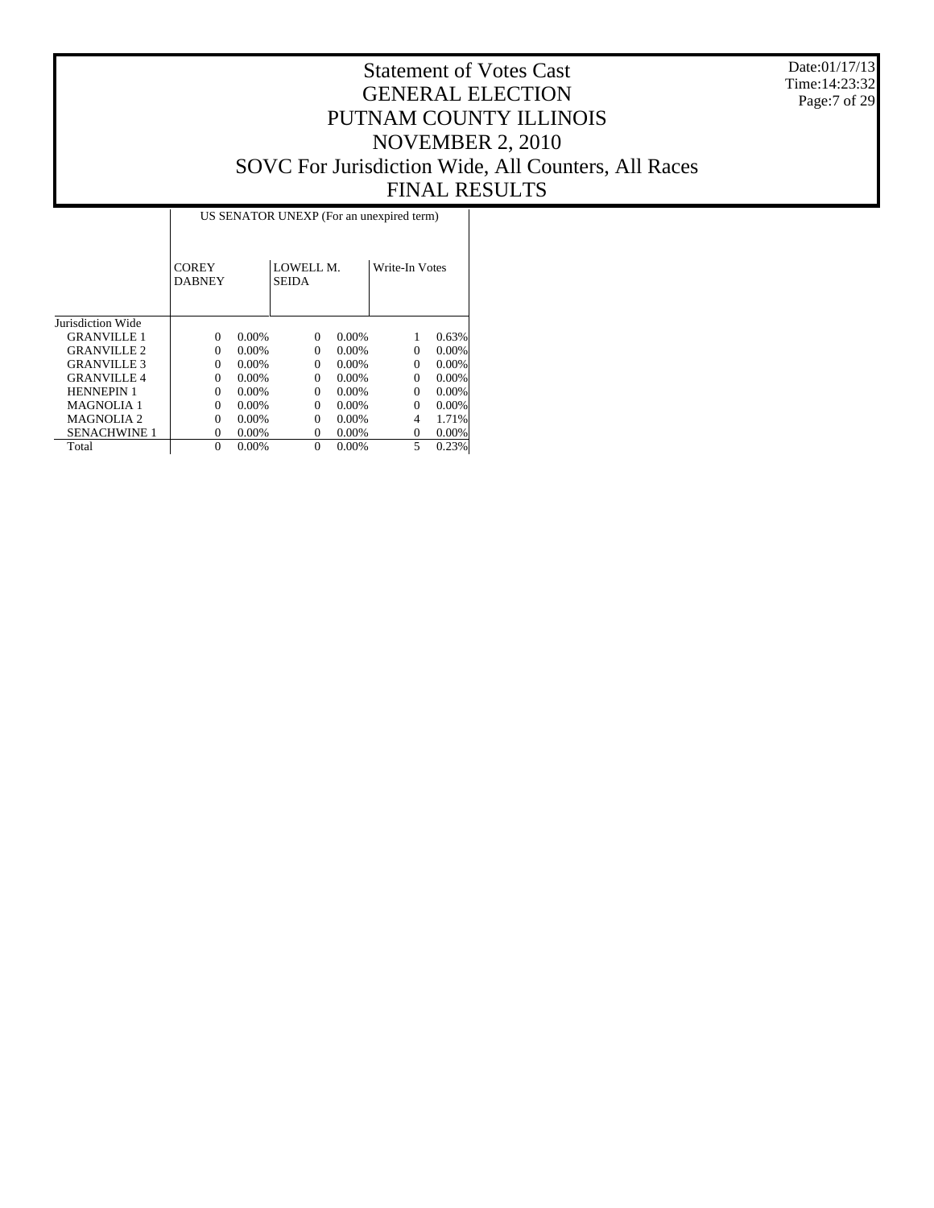Date:01/17/13 Time:14:23:32 Page:7 of 29

|                       |                               | US SENATOR UNEXP (For an unexpired term) |                    |       |                |       |  |  |  |  |  |  |
|-----------------------|-------------------------------|------------------------------------------|--------------------|-------|----------------|-------|--|--|--|--|--|--|
|                       | <b>COREY</b><br><b>DABNEY</b> |                                          | LOWELL M.<br>SEIDA |       | Write-In Votes |       |  |  |  |  |  |  |
| Jurisdiction Wide     |                               |                                          |                    |       |                |       |  |  |  |  |  |  |
| <b>GRANVILLE 1</b>    | $\Omega$                      | 0.00%                                    | $\Omega$           | 0.00% |                | 0.63% |  |  |  |  |  |  |
| <b>GRANVILLE 2</b>    | $\Omega$                      | $0.00\%$                                 | $\Omega$           | 0.00% | 0              | 0.00% |  |  |  |  |  |  |
| <b>GRANVILLE 3</b>    | $\Omega$                      | 0.00%                                    | $\Omega$           | 0.00% | 0              | 0.00% |  |  |  |  |  |  |
| <b>GRANVILLE4</b>     | $\Omega$                      | 0.00%                                    | $\Omega$           | 0.00% | $\Omega$       | 0.00% |  |  |  |  |  |  |
| <b>HENNEPIN 1</b>     | $\Omega$                      | 0.00%                                    | $\Omega$           | 0.00% | $\Omega$       | 0.00% |  |  |  |  |  |  |
| <b>MAGNOLIA 1</b>     | $\Omega$                      | 0.00%                                    | $\Omega$           | 0.00% | $\Omega$       | 0.00% |  |  |  |  |  |  |
| MAGNOLIA <sub>2</sub> | $\Omega$                      | 0.00%                                    | $\Omega$           | 0.00% | 4              | 1.71% |  |  |  |  |  |  |
| <b>SENACHWINE 1</b>   | $^{(1)}$                      | 0.00%                                    | $^{(1)}$           | 0.00% | 0              | 0.00% |  |  |  |  |  |  |
| Total                 | $\theta$                      | 0.00%                                    | $\theta$           | 0.00% | 5              | 0.23% |  |  |  |  |  |  |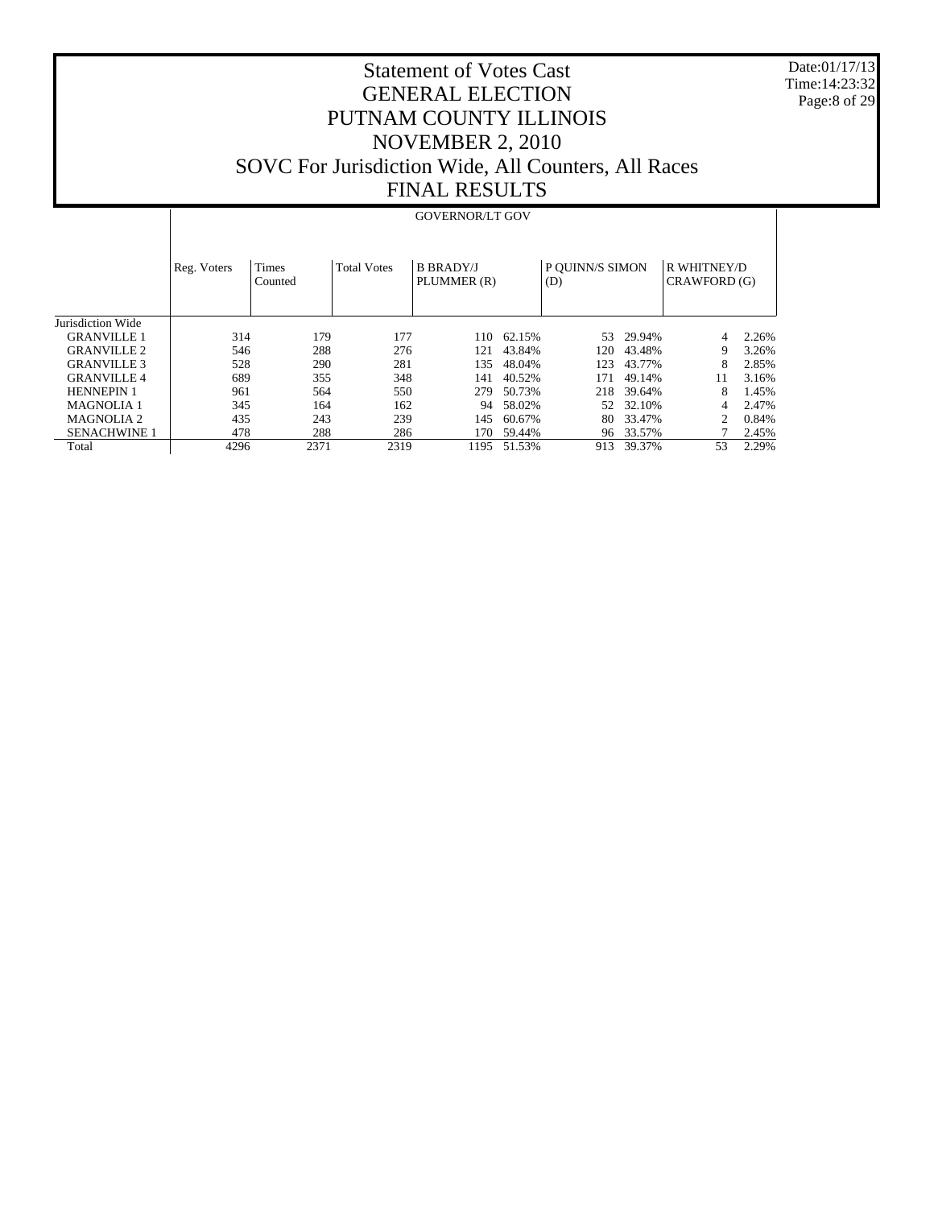Date:01/17/13 Time:14:23:32 Page:8 of 29

|                     |             |                  |                    | <b>GOVERNOR/LT GOV</b>          |        |                        |        |                             |       |
|---------------------|-------------|------------------|--------------------|---------------------------------|--------|------------------------|--------|-----------------------------|-------|
|                     | Reg. Voters | Times<br>Counted | <b>Total Votes</b> | <b>B BRADY/J</b><br>PLUMMER (R) |        | P OUINN/S SIMON<br>(D) |        | R WHITNEY/D<br>CRAWFORD (G) |       |
| Jurisdiction Wide   |             |                  |                    |                                 |        |                        |        |                             |       |
| <b>GRANVILLE 1</b>  | 314         | 179              | 177                | 110                             | 62.15% | 53                     | 29.94% | 4                           | 2.26% |
| <b>GRANVILLE 2</b>  | 546         | 288              | 276                | 121                             | 43.84% | 120                    | 43.48% | 9                           | 3.26% |
| <b>GRANVILLE 3</b>  | 528         | 290              | 281                | 135                             | 48.04% | 123                    | 43.77% | 8                           | 2.85% |
| <b>GRANVILLE 4</b>  | 689         | 355              | 348                | 141                             | 40.52% | 171                    | 49.14% | 11                          | 3.16% |
| <b>HENNEPIN 1</b>   | 961         | 564              | 550                | 279                             | 50.73% | 218                    | 39.64% | 8                           | 1.45% |
| <b>MAGNOLIA1</b>    | 345         | 164              | 162                | 94                              | 58.02% | 52                     | 32.10% | 4                           | 2.47% |
| <b>MAGNOLIA 2</b>   | 435         | 243              | 239                | 145                             | 60.67% | 80                     | 33.47% |                             | 0.84% |
| <b>SENACHWINE 1</b> | 478         | 288              | 286                | 170                             | 59.44% | 96                     | 33.57% |                             | 2.45% |
| Total               | 4296        | 2371             | 2319               | 1195                            | 51.53% | 913                    | 39.37% | 53                          | 2.29% |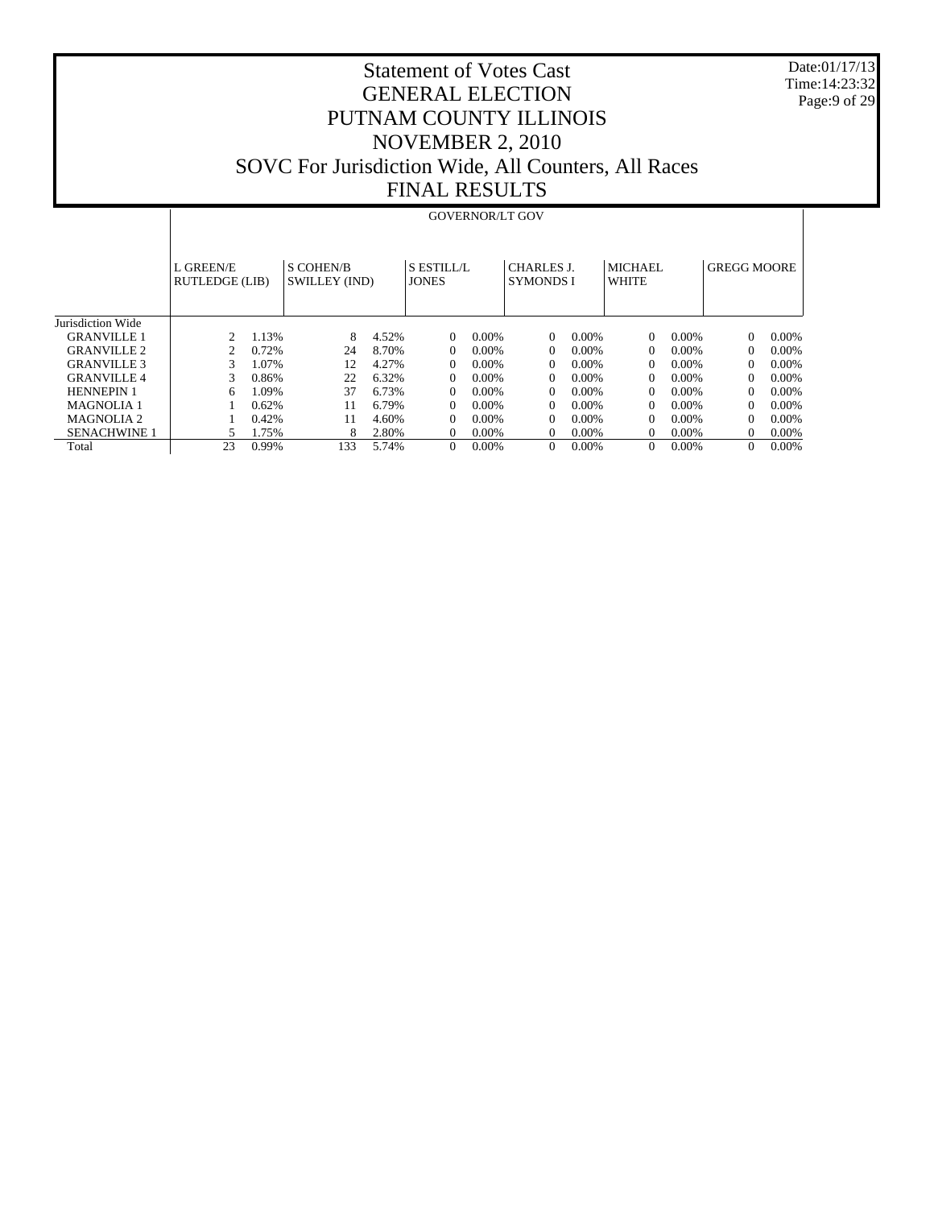Date:01/17/13 Time:14:23:32 Page:9 of 29

|                     |                             | <b>GOVERNOR/LT GOV</b> |                                   |       |                            |          |                                       |          |                  |          |                    |          |  |  |
|---------------------|-----------------------------|------------------------|-----------------------------------|-------|----------------------------|----------|---------------------------------------|----------|------------------|----------|--------------------|----------|--|--|
|                     | L GREEN/E<br>RUTLEDGE (LIB) |                        | <b>S COHEN/B</b><br>SWILLEY (IND) |       | S ESTILL/L<br><b>JONES</b> |          | <b>CHARLES J.</b><br><b>SYMONDS I</b> |          | MICHAEL<br>WHITE |          | <b>GREGG MOORE</b> |          |  |  |
| Jurisdiction Wide   |                             |                        |                                   |       |                            |          |                                       |          |                  |          |                    |          |  |  |
| <b>GRANVILLE 1</b>  | $\mathcal{D}_{\mathcal{L}}$ | 1.13%                  | 8                                 | 4.52% | $\Omega$                   | $0.00\%$ | $\Omega$                              | $0.00\%$ | $\Omega$         | $0.00\%$ | $\Omega$           | 0.00%    |  |  |
| <b>GRANVILLE 2</b>  | 2                           | 0.72%                  | 24                                | 8.70% | $\Omega$                   | $0.00\%$ | $\Omega$                              | $0.00\%$ | $\Omega$         | $0.00\%$ | $\Omega$           | $0.00\%$ |  |  |
| <b>GRANVILLE 3</b>  | 3                           | 1.07%                  | 12                                | 4.27% | $\Omega$                   | $0.00\%$ | $\Omega$                              | $0.00\%$ | $\Omega$         | $0.00\%$ | 0                  | $0.00\%$ |  |  |
| <b>GRANVILLE4</b>   | 3                           | 0.86%                  | 22                                | 6.32% | $\Omega$                   | $0.00\%$ | $\Omega$                              | $0.00\%$ | $\Omega$         | $0.00\%$ | 0                  | $0.00\%$ |  |  |
| <b>HENNEPIN 1</b>   | 6                           | 1.09%                  | 37                                | 6.73% | $\Omega$                   | $0.00\%$ | $\Omega$                              | $0.00\%$ | $\Omega$         | $0.00\%$ | 0                  | $0.00\%$ |  |  |
| <b>MAGNOLIA 1</b>   |                             | 0.62%                  | 11                                | 6.79% | $\Omega$                   | $0.00\%$ | $\Omega$                              | $0.00\%$ | $\Omega$         | $0.00\%$ | $\Omega$           | $0.00\%$ |  |  |
| MAGNOLIA 2          |                             | 0.42%                  | 11                                | 4.60% | $\Omega$                   | $0.00\%$ | $\Omega$                              | $0.00\%$ | 0                | $0.00\%$ | 0                  | $0.00\%$ |  |  |
| <b>SENACHWINE 1</b> | 5                           | 1.75%                  | 8                                 | 2.80% | $\Omega$                   | $0.00\%$ | $\Omega$                              | $0.00\%$ | 0                | $0.00\%$ | 0                  | 0.00%    |  |  |
| Total               | 23                          | 0.99%                  | 133                               | 5.74% | $\Omega$                   | $0.00\%$ | $\theta$                              | $0.00\%$ | $\Omega$         | $0.00\%$ | 0                  | 0.00%    |  |  |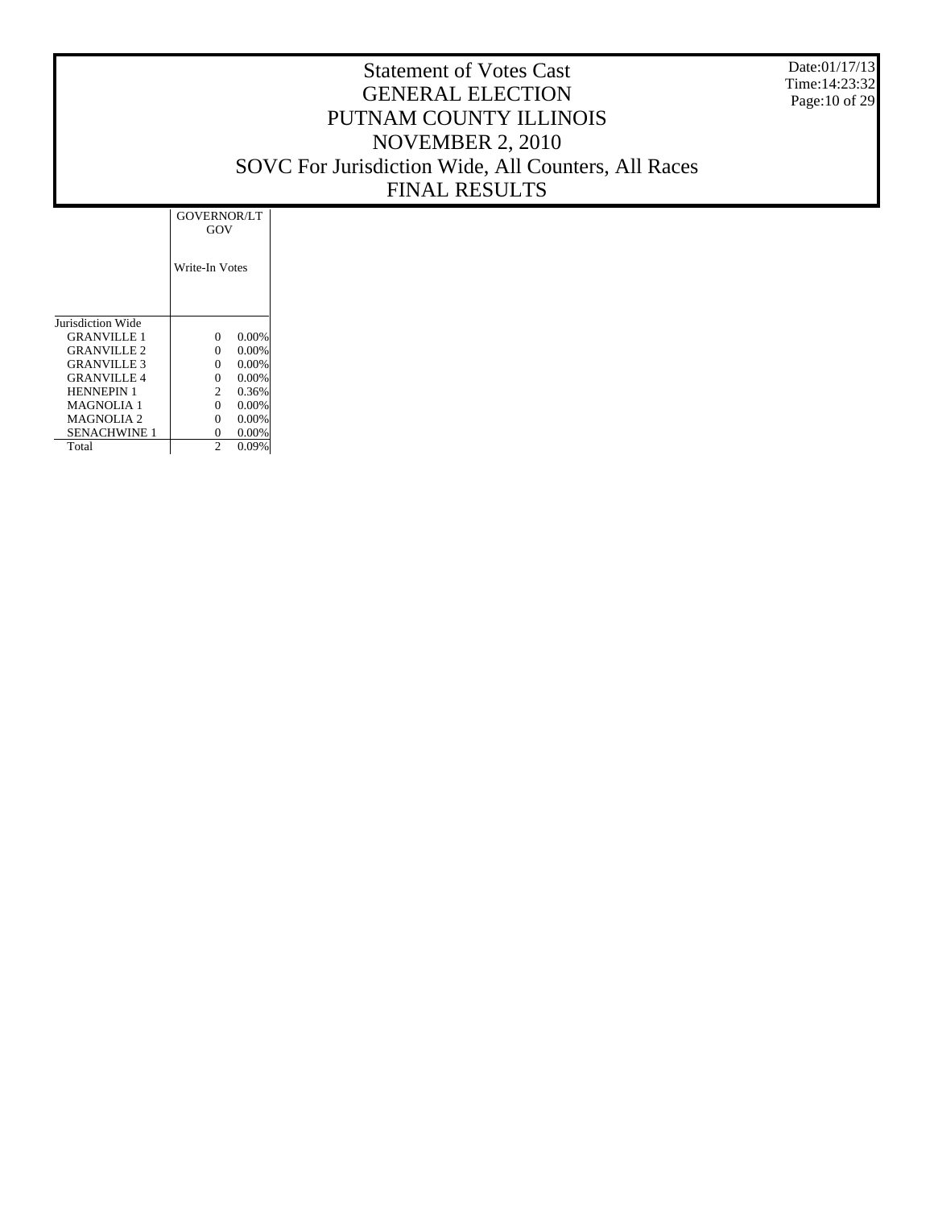Date:01/17/13 Time:14:23:32 Page:10 of 29

|                          | <b>GOVERNOR/LT</b><br>GOV |
|--------------------------|---------------------------|
|                          | Write-In Votes            |
| <b>Jurisdiction Wide</b> |                           |
| <b>GRANVILLE 1</b>       | 0.00%<br>0                |
| GRANVILLE 2              | 0.00%<br>0                |
| <b>GRANVILLE 3</b>       | 0.00%<br>0                |
| <b>GRANVILLE 4</b>       | 0.00%<br>0                |
| <b>HENNEPIN 1</b>        | 0.36%<br>$\mathfrak{D}$   |
| <b>MAGNOLIA 1</b>        | 0.00%<br>0                |
| <b>MAGNOLIA 2</b>        | 0.00%<br>0                |
| SENACHWINE 1             | 0<br>0.00%                |
| Total                    | $\mathfrak{D}$<br>0.09%   |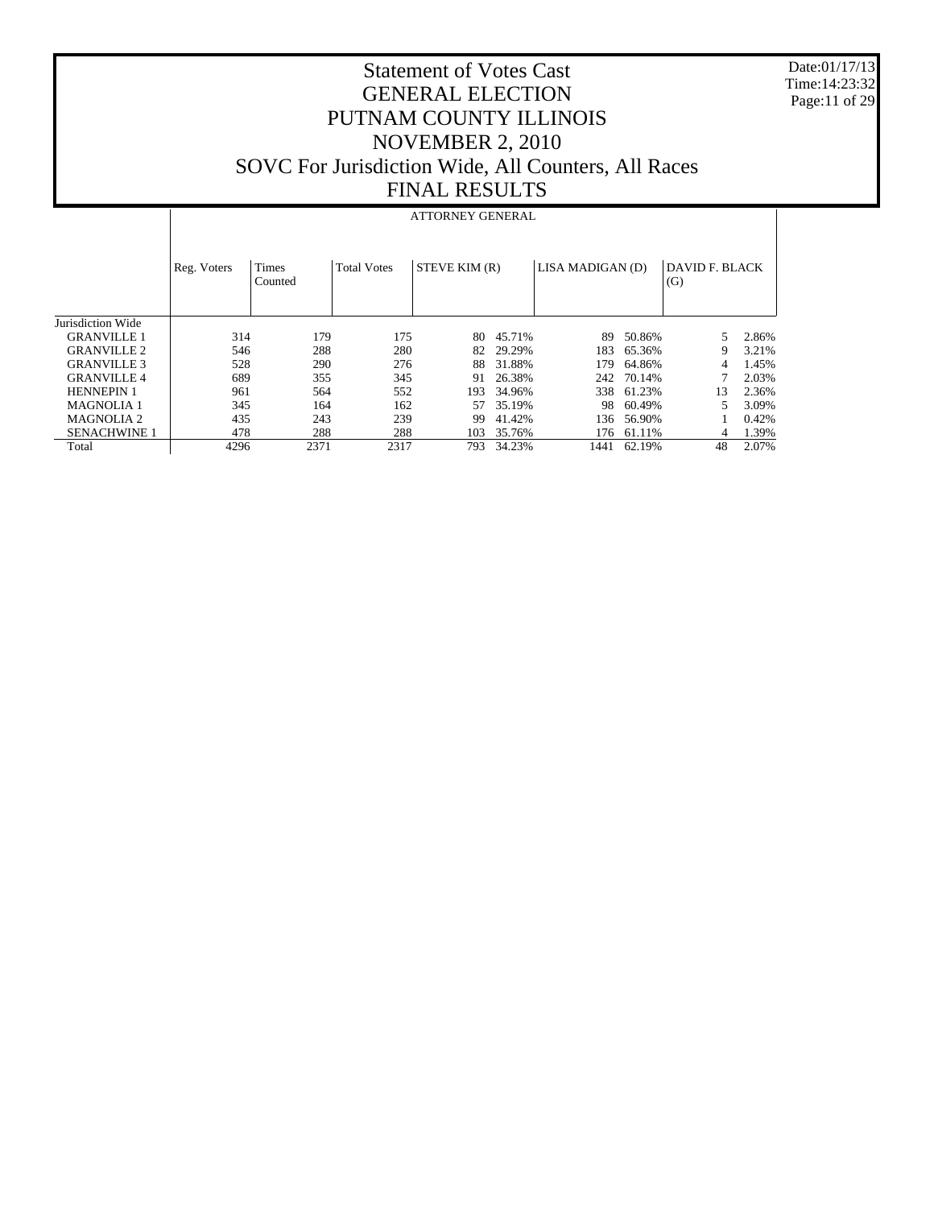Date:01/17/13 Time:14:23:32 Page:11 of 29

|                     |             |                         |                    | <b>ATTORNEY GENERAL</b> |        |                  |        |                       |       |
|---------------------|-------------|-------------------------|--------------------|-------------------------|--------|------------------|--------|-----------------------|-------|
|                     | Reg. Voters | <b>Times</b><br>Counted | <b>Total Votes</b> | STEVE KIM (R)           |        | LISA MADIGAN (D) |        | DAVID F. BLACK<br>(G) |       |
| Jurisdiction Wide   |             |                         |                    |                         |        |                  |        |                       |       |
| <b>GRANVILLE 1</b>  | 314         | 179                     | 175                | 80                      | 45.71% | 89               | 50.86% | 5                     | 2.86% |
| <b>GRANVILLE 2</b>  | 546         | 288                     | 280                | 82                      | 29.29% | 183              | 65.36% | 9                     | 3.21% |
| <b>GRANVILLE 3</b>  | 528         | 290                     | 276                | 88                      | 31.88% | 179              | 64.86% | 4                     | 1.45% |
| <b>GRANVILLE 4</b>  | 689         | 355                     | 345                | 91                      | 26.38% | 242              | 70.14% |                       | 2.03% |
| <b>HENNEPIN 1</b>   | 961         | 564                     | 552                | 193                     | 34.96% | 338              | 61.23% | 13                    | 2.36% |
| <b>MAGNOLIA 1</b>   | 345         | 164                     | 162                | 57                      | 35.19% | 98               | 60.49% |                       | 3.09% |
| <b>MAGNOLIA 2</b>   | 435         | 243                     | 239                | 99                      | 41.42% | 136              | 56.90% |                       | 0.42% |
| <b>SENACHWINE 1</b> | 478         | 288                     | 288                | 103                     | 35.76% | 176              | 61.11% | 4                     | 1.39% |
| Total               | 4296        | 2371                    | 2317               | 793.                    | 34.23% | 1441             | 62.19% | 48                    | 2.07% |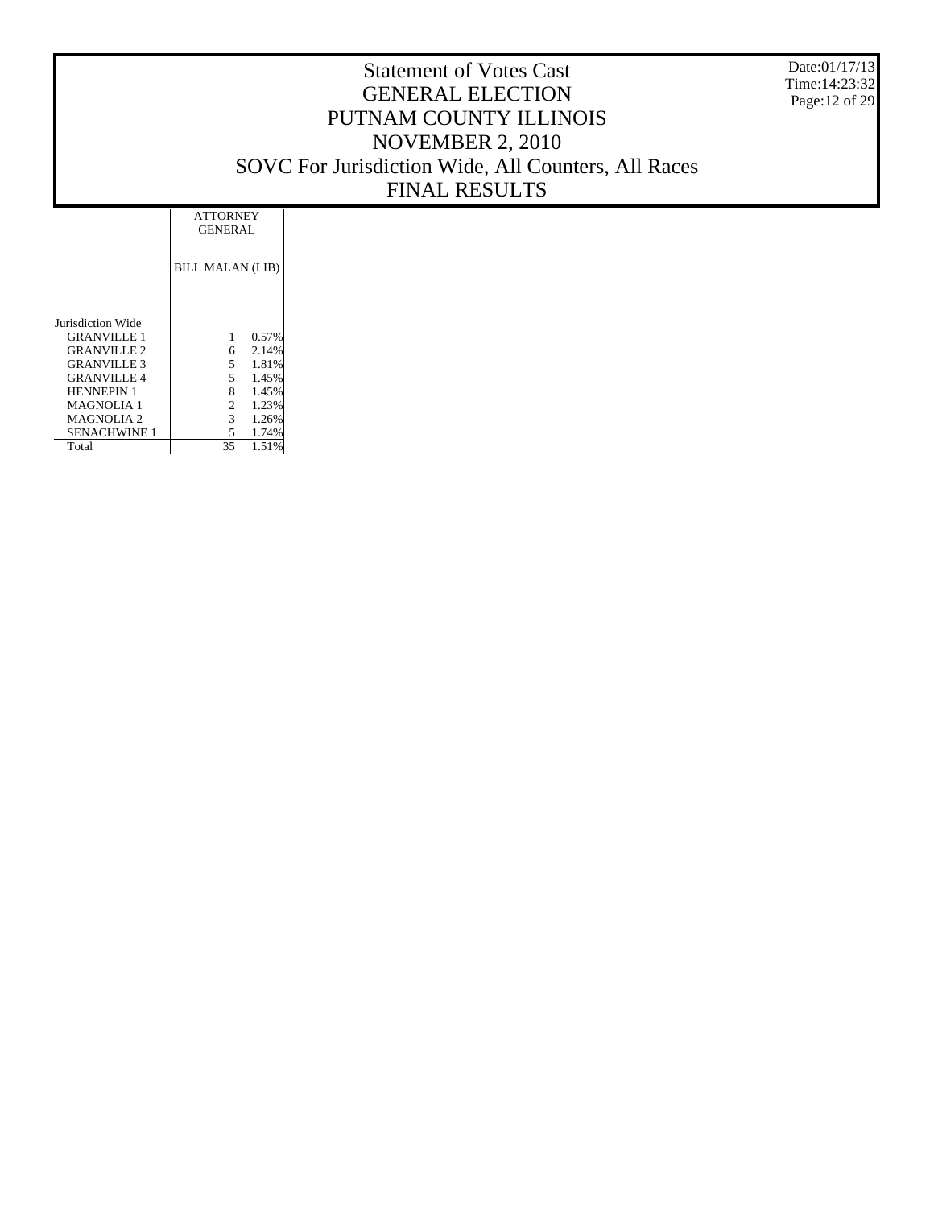Date:01/17/13 Time:14:23:32 Page:12 of 29

|                     | <b>ATTORNEY</b><br><b>GENERAL</b> |  |
|---------------------|-----------------------------------|--|
|                     | <b>BILL MALAN (LIB)</b>           |  |
| Jurisdiction Wide   |                                   |  |
| GRANVILLE 1         | 0.57%<br>1                        |  |
| <b>GRANVILLE 2</b>  | 2.14%<br>6.                       |  |
| <b>GRANVILLE 3</b>  | 5.<br>1.81%                       |  |
| <b>GRANVILLE 4</b>  | 5.<br>1.45%                       |  |
| <b>HENNEPIN 1</b>   | 8<br>1.45%                        |  |
| <b>MAGNOLIA 1</b>   | $\overline{2}$<br>1.23%           |  |
| <b>MAGNOLIA2</b>    | $\mathcal{F}$<br>1.26%            |  |
| <b>SENACHWINE 1</b> | 1.74%<br>5.                       |  |
| Total               | 35<br>1.51%                       |  |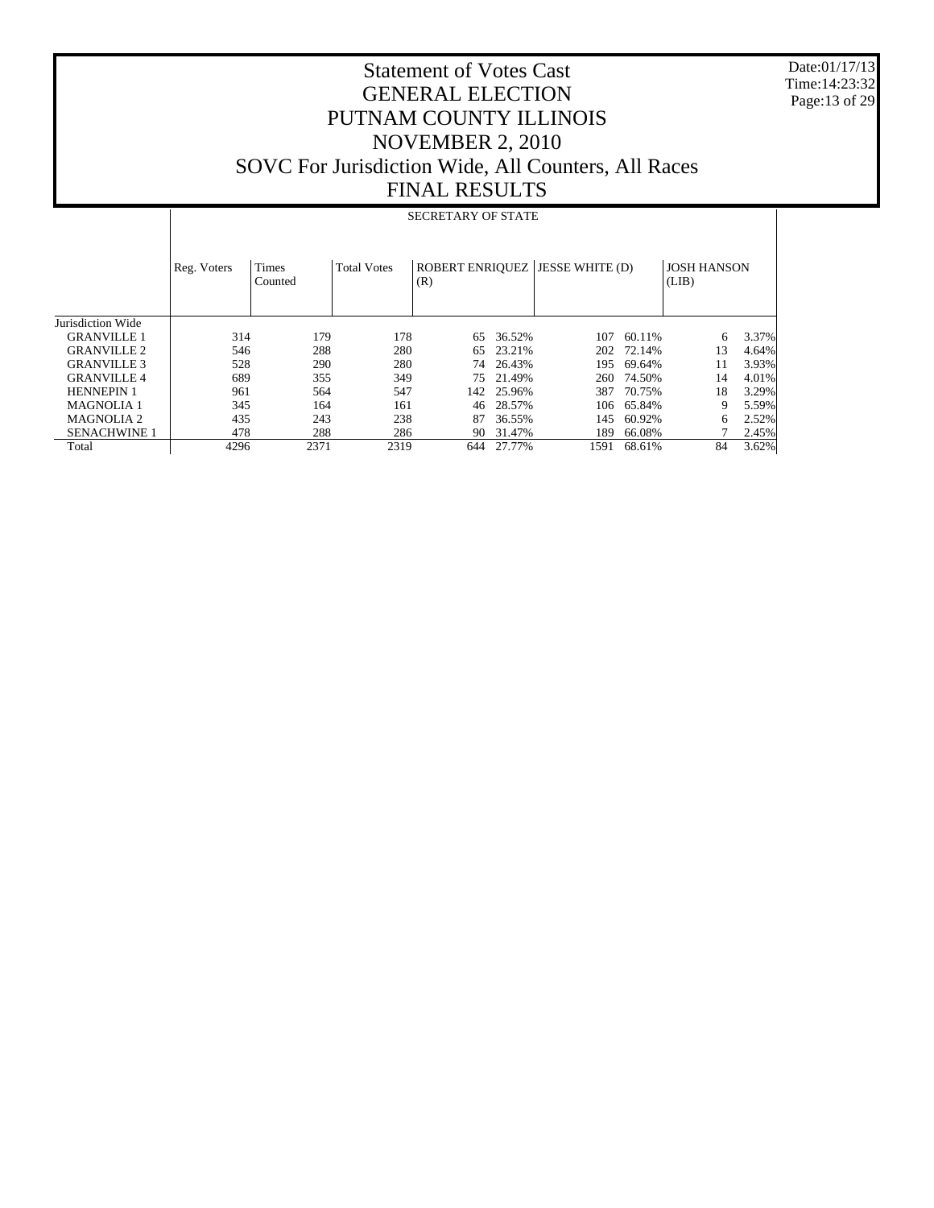Date:01/17/13 Time:14:23:32 Page:13 of 29

|                     |             | <b>SECRETARY OF STATE</b> |                    |     |            |                                        |        |                             |       |  |  |  |  |  |
|---------------------|-------------|---------------------------|--------------------|-----|------------|----------------------------------------|--------|-----------------------------|-------|--|--|--|--|--|
|                     | Reg. Voters | Times<br>Counted          | <b>Total Votes</b> | (R) |            | <b>ROBERT ENRIQUEZ JESSE WHITE (D)</b> |        | <b>JOSH HANSON</b><br>(LIB) |       |  |  |  |  |  |
| Jurisdiction Wide   |             |                           |                    |     |            |                                        |        |                             |       |  |  |  |  |  |
| <b>GRANVILLE 1</b>  | 314         | 179                       | 178                | 65  | 36.52%     | 107                                    | 60.11% | 6                           | 3.37% |  |  |  |  |  |
| <b>GRANVILLE 2</b>  | 546         | 288                       | 280                | 65  | 23.21%     | 202                                    | 72.14% | 13                          | 4.64% |  |  |  |  |  |
| <b>GRANVILLE 3</b>  | 528         | 290                       | 280                | 74  | 26.43%     | 195                                    | 69.64% | 11                          | 3.93% |  |  |  |  |  |
| <b>GRANVILLE 4</b>  | 689         | 355                       | 349                | 75  | 21.49%     | 260                                    | 74.50% | 14                          | 4.01% |  |  |  |  |  |
| <b>HENNEPIN 1</b>   | 961         | 564                       | 547                |     | 142 25.96% | 387                                    | 70.75% | 18                          | 3.29% |  |  |  |  |  |
| <b>MAGNOLIA1</b>    | 345         | 164                       | 161                | 46  | 28.57%     | 106                                    | 65.84% | 9                           | 5.59% |  |  |  |  |  |
| <b>MAGNOLIA 2</b>   | 435         | 243                       | 238                | 87  | 36.55%     | 145                                    | 60.92% | 6                           | 2.52% |  |  |  |  |  |
| <b>SENACHWINE 1</b> | 478         | 288                       | 286                | 90  | 31.47%     | 189                                    | 66.08% |                             | 2.45% |  |  |  |  |  |
| Total               | 4296        | 2371                      | 2319               | 644 | 27.77%     | 1591                                   | 68.61% | 84                          | 3.62% |  |  |  |  |  |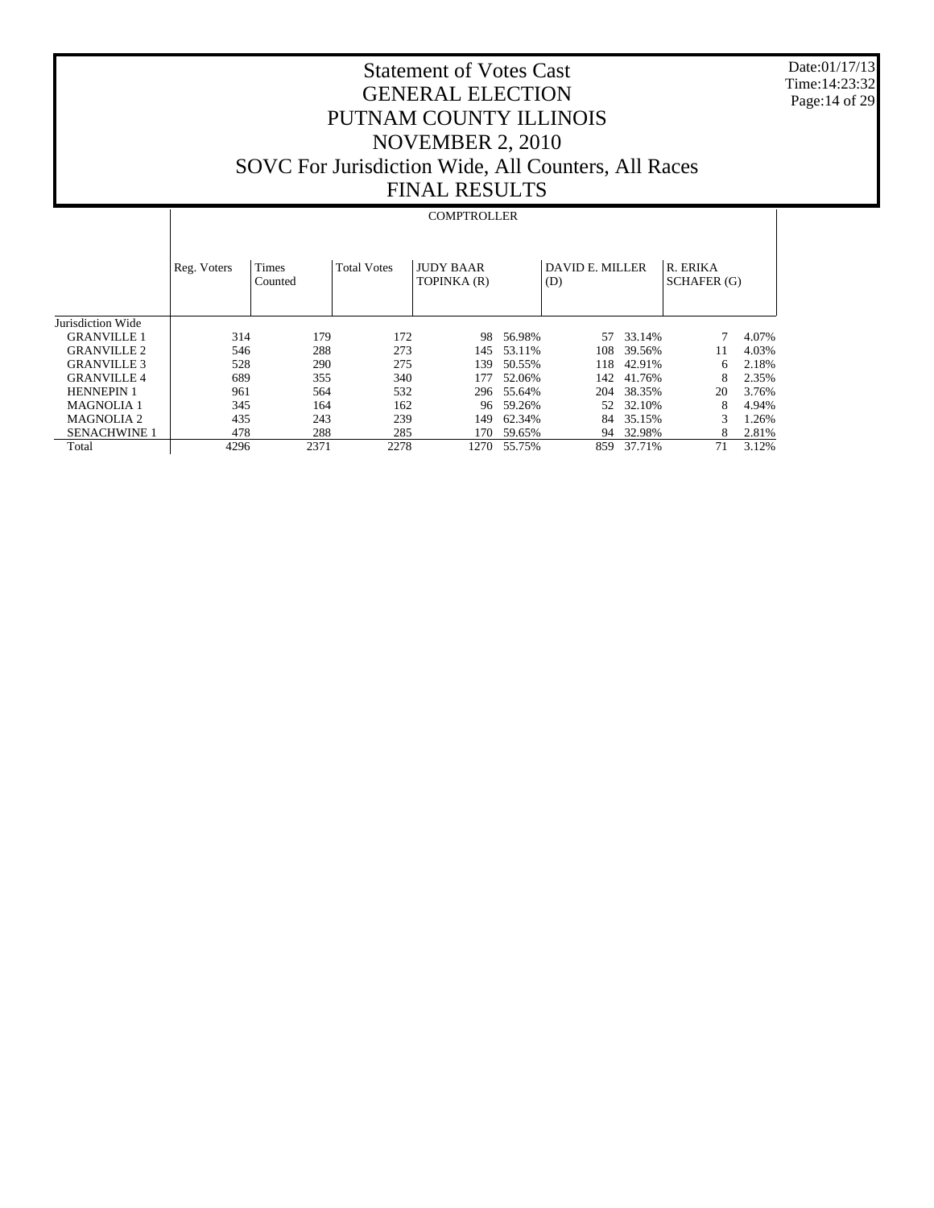Date:01/17/13 Time:14:23:32 Page:14 of 29

# Statement of Votes Cast GENERAL ELECTION PUTNAM COUNTY ILLINOIS NOVEMBER 2, 2010 SOVC For Jurisdiction Wide, All Counters, All Races FINAL RESULTS

#### **COMPTROLLER**

|                     | Reg. Voters | <b>Times</b><br>Counted | <b>Total Votes</b> | <b>JUDY BAAR</b><br>TOPINKA (R) |            | DAVID E. MILLER<br>(D) |        | R. ERIKA<br>SCHAFER (G) |       |
|---------------------|-------------|-------------------------|--------------------|---------------------------------|------------|------------------------|--------|-------------------------|-------|
| Jurisdiction Wide   |             |                         |                    |                                 |            |                        |        |                         |       |
| <b>GRANVILLE 1</b>  | 314         | 179                     | 172                | 98                              | 56.98%     | 57                     | 33.14% |                         | 4.07% |
| <b>GRANVILLE 2</b>  | 546         | 288                     | 273                | 145                             | 53.11%     | 108.                   | 39.56% | 11                      | 4.03% |
| <b>GRANVILLE 3</b>  | 528         | 290                     | 275                | 139                             | 50.55%     | 118                    | 42.91% | 6                       | 2.18% |
| <b>GRANVILLE 4</b>  | 689         | 355                     | 340                | 177                             | 52.06%     | 142.                   | 41.76% | 8                       | 2.35% |
| <b>HENNEPIN 1</b>   | 961         | 564                     | 532                |                                 | 296 55.64% | 204                    | 38.35% | 20                      | 3.76% |
| <b>MAGNOLIA 1</b>   | 345         | 164                     | 162                | 96                              | 59.26%     | 52.                    | 32.10% | 8                       | 4.94% |
| <b>MAGNOLIA 2</b>   | 435         | 243                     | 239                | 149                             | 62.34%     | 84                     | 35.15% | 3                       | 1.26% |
| <b>SENACHWINE 1</b> | 478         | 288                     | 285                | 170                             | 59.65%     | 94                     | 32.98% | 8                       | 2.81% |
| Total               | 4296        | 2371                    | 2278               | 1270                            | 55.75%     | 859                    | 37.71% | 71                      | 3.12% |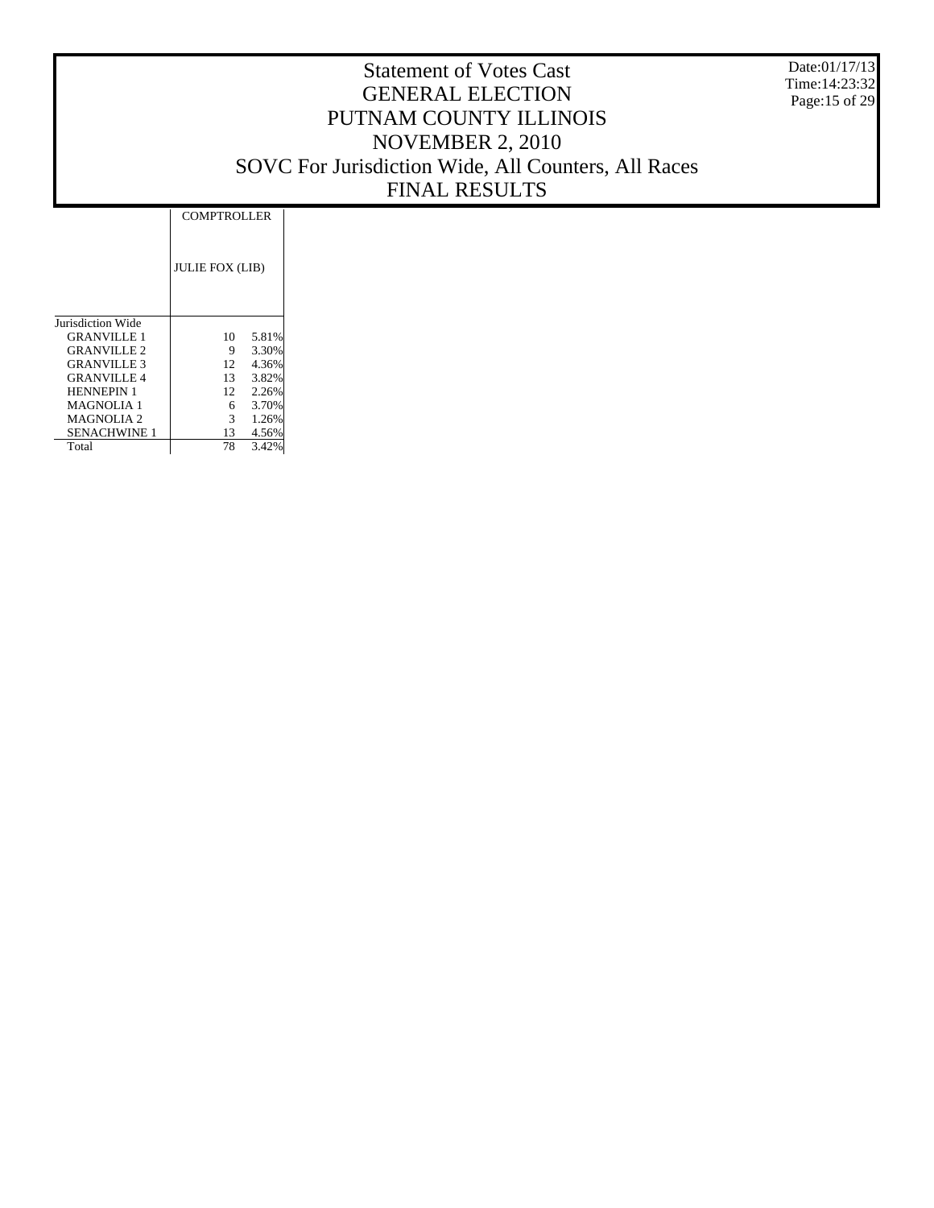Date:01/17/13 Time:14:23:32 Page:15 of 29

|                     | <b>COMPTROLLER</b>     |       |
|---------------------|------------------------|-------|
|                     | <b>JULIE FOX (LIB)</b> |       |
| Jurisdiction Wide   |                        |       |
| <b>GRANVILLE 1</b>  | 10                     | 5.81% |
| <b>GRANVILLE 2</b>  | 9                      | 3.30% |
| <b>GRANVILLE 3</b>  | 12                     | 4.36% |
| <b>GRANVILLE4</b>   | 13                     | 3.82% |
| <b>HENNEPIN 1</b>   | 12                     | 2.26% |
| <b>MAGNOLIA1</b>    | 6                      | 3.70% |
| MAGNOLIA 2          | 3                      | 1.26% |
| <b>SENACHWINE 1</b> | 13                     | 4.56% |
| Total               | 78                     | 3.42% |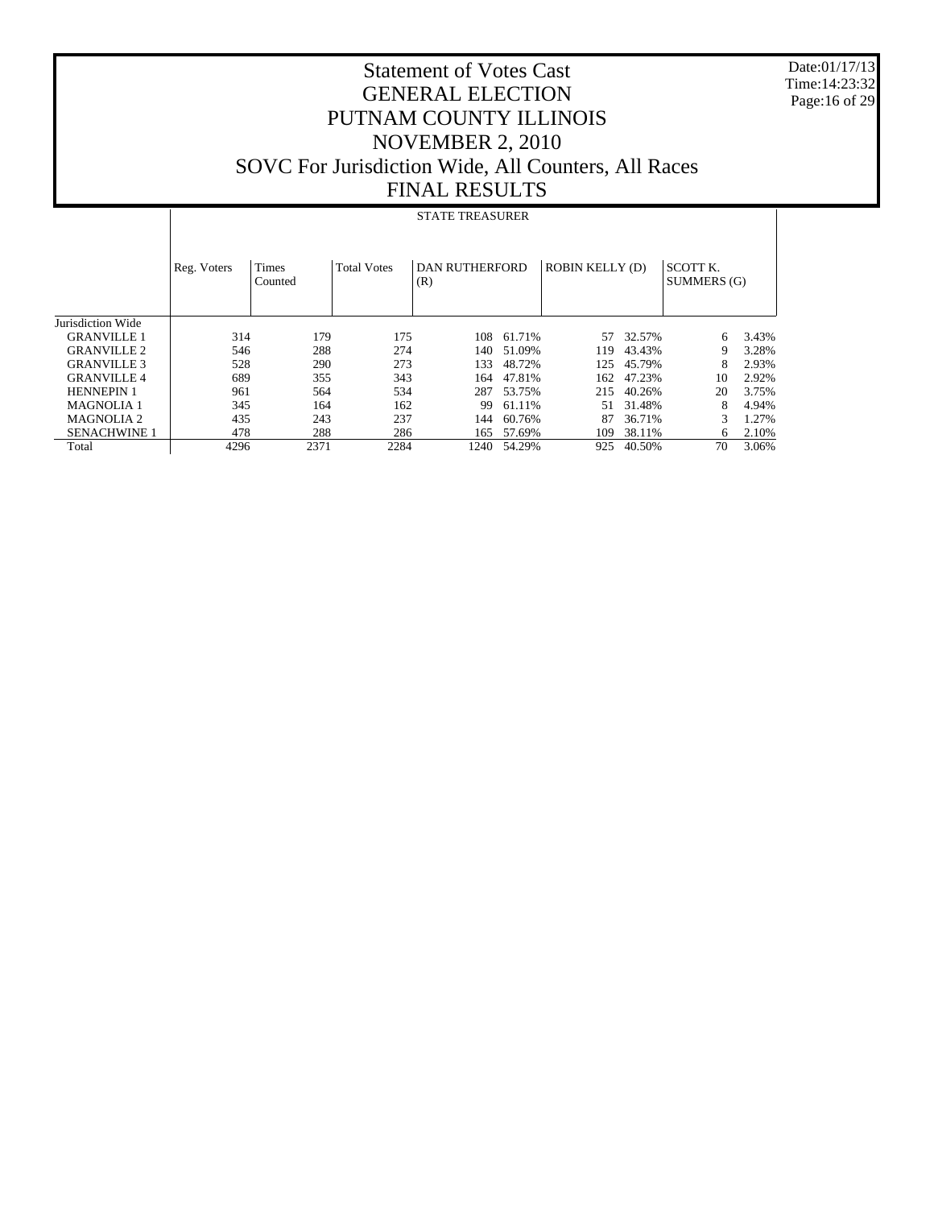Date:01/17/13 Time:14:23:32 Page:16 of 29

# Statement of Votes Cast GENERAL ELECTION PUTNAM COUNTY ILLINOIS NOVEMBER 2, 2010 SOVC For Jurisdiction Wide, All Counters, All Races FINAL RESULTS

#### STATE TREASURER

|                       | Reg. Voters | <b>Times</b><br>Counted | <b>Total Votes</b> | <b>DAN RUTHERFORD</b><br>(R) |        | <b>ROBIN KELLY (D)</b> |        | SCOTT K.<br>SUMMERS (G) |       |
|-----------------------|-------------|-------------------------|--------------------|------------------------------|--------|------------------------|--------|-------------------------|-------|
| Jurisdiction Wide     |             |                         |                    |                              |        |                        |        |                         |       |
| <b>GRANVILLE 1</b>    | 314         | 179                     | 175                | 108                          | 61.71% | 57                     | 32.57% | 6                       | 3.43% |
| <b>GRANVILLE 2</b>    | 546         | 288                     | 274                | 140                          | 51.09% | 119                    | 43.43% | 9                       | 3.28% |
| <b>GRANVILLE 3</b>    | 528         | 290                     | 273                | 133                          | 48.72% | 125                    | 45.79% | 8                       | 2.93% |
| <b>GRANVILLE 4</b>    | 689         | 355                     | 343                | 164                          | 47.81% | 162                    | 47.23% | 10                      | 2.92% |
| <b>HENNEPIN 1</b>     | 961         | 564                     | 534                | 287                          | 53.75% | 215                    | 40.26% | 20                      | 3.75% |
| <b>MAGNOLIA 1</b>     | 345         | 164                     | 162                | 99                           | 61.11% | 51                     | 31.48% | 8                       | 4.94% |
| MAGNOLIA <sub>2</sub> | 435         | 243                     | 237                | 144                          | 60.76% | 87                     | 36.71% | 3                       | 1.27% |
| <b>SENACHWINE 1</b>   | 478         | 288                     | 286                | 165                          | 57.69% | 109                    | 38.11% | 6                       | 2.10% |
| Total                 | 4296        | 2371                    | 2284               | 1240                         | 54.29% | 925                    | 40.50% | 70                      | 3.06% |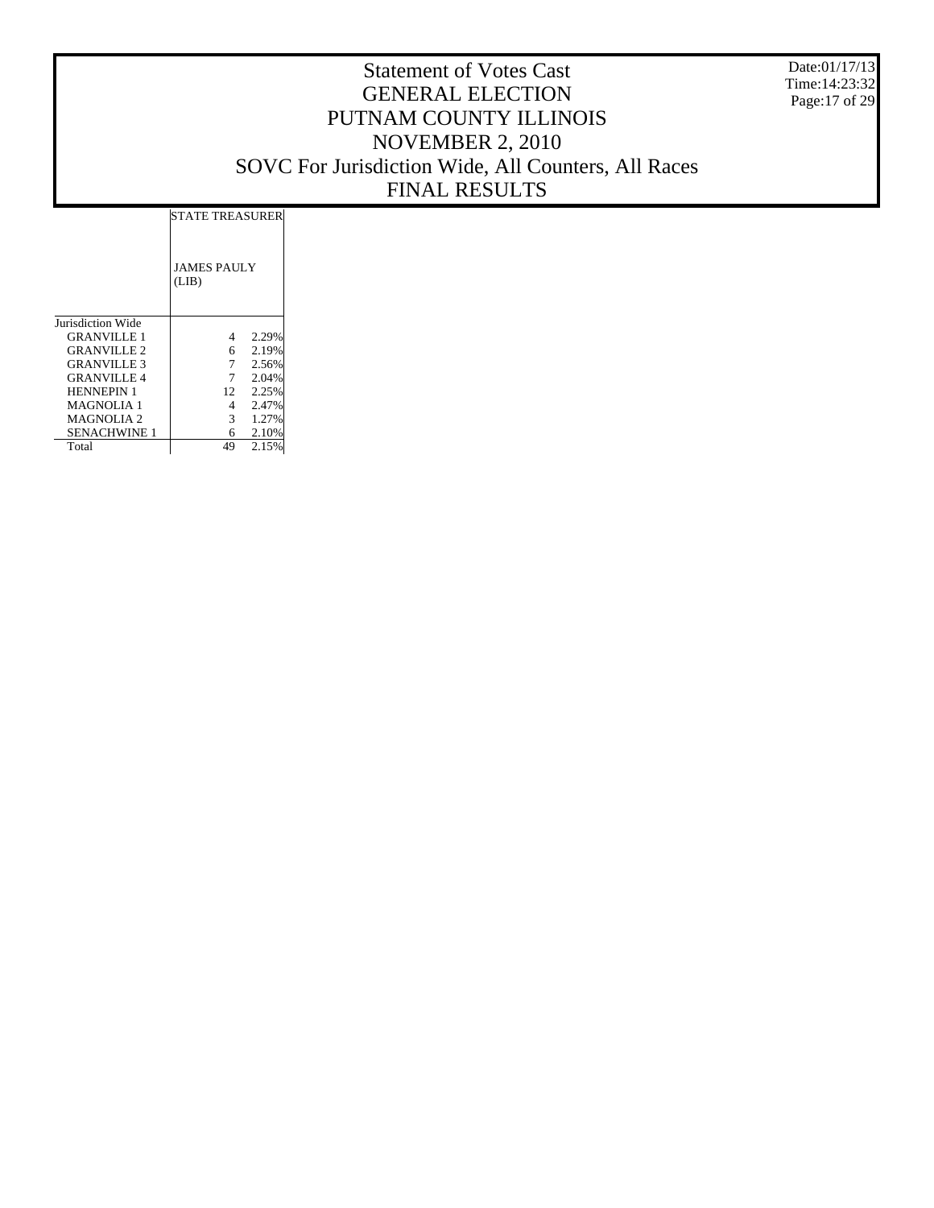Date:01/17/13 Time:14:23:32 Page:17 of 29

|                     | <b>STATE TREASURER</b>      |       |  |
|---------------------|-----------------------------|-------|--|
|                     | <b>JAMES PAULY</b><br>(LIB) |       |  |
| Jurisdiction Wide   |                             |       |  |
| <b>GRANVILLE 1</b>  | 4                           | 2.29% |  |
| <b>GRANVILLE 2</b>  | 6.                          | 2.19% |  |
| <b>GRANVILLE 3</b>  | 7                           | 2.56% |  |
| <b>GRANVILLE 4</b>  |                             | 2.04% |  |
| <b>HENNEPIN 1</b>   | 12                          | 2.25% |  |
| <b>MAGNOLIA 1</b>   | 4                           | 2.47% |  |
| MAGNOLIA 2          | 3                           | 1.27% |  |
| <b>SENACHWINE 1</b> | 6                           | 2.10% |  |
| Total               | 49                          | 2.15% |  |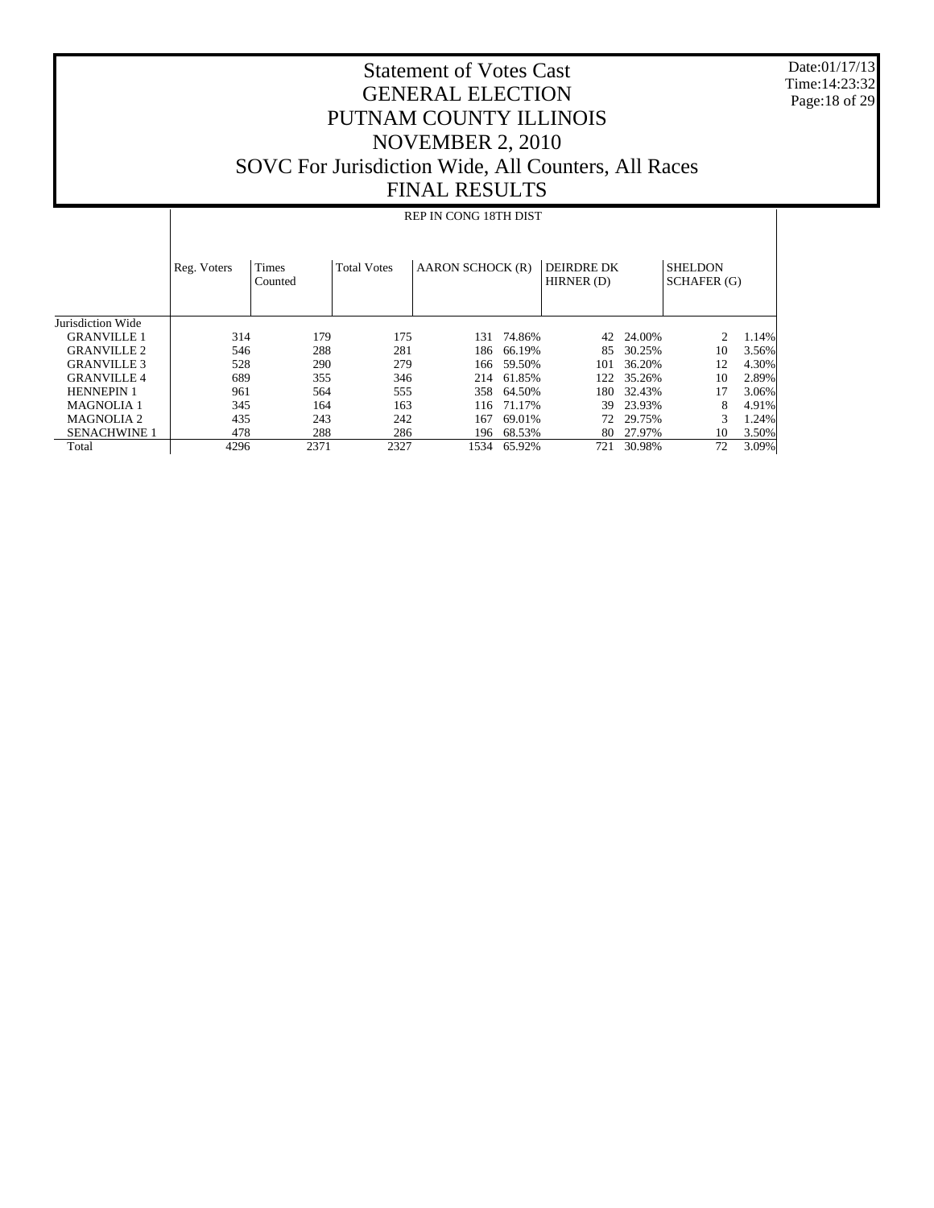Date:01/17/13 Time:14:23:32 Page:18 of 29

# Statement of Votes Cast GENERAL ELECTION PUTNAM COUNTY ILLINOIS NOVEMBER 2, 2010 SOVC For Jurisdiction Wide, All Counters, All Races FINAL RESULTS

#### REP IN CONG 18TH DIST

|                     | Reg. Voters | <b>Times</b><br>Counted | <b>Total Votes</b> | <b>AARON SCHOCK (R)</b> |        | DEIRDRE DK<br>HIRNER (D) |        | <b>SHELDON</b><br>SCHAFER (G) |       |
|---------------------|-------------|-------------------------|--------------------|-------------------------|--------|--------------------------|--------|-------------------------------|-------|
| Jurisdiction Wide   |             |                         |                    |                         |        |                          |        |                               |       |
| <b>GRANVILLE 1</b>  | 314         | 179                     | 175                | 131                     | 74.86% | 42                       | 24.00% |                               | 1.14% |
| <b>GRANVILLE 2</b>  | 546         | 288                     | 281                | 186.                    | 66.19% | 85                       | 30.25% | 10                            | 3.56% |
| <b>GRANVILLE 3</b>  | 528         | 290                     | 279                | 166                     | 59.50% | 101                      | 36.20% | 12                            | 4.30% |
| <b>GRANVILLE4</b>   | 689         | 355                     | 346                | 214                     | 61.85% | 122                      | 35.26% | 10                            | 2.89% |
| <b>HENNEPIN 1</b>   | 961         | 564                     | 555                | 358                     | 64.50% | 180.                     | 32.43% | 17                            | 3.06% |
| <b>MAGNOLIA 1</b>   | 345         | 164                     | 163                | 116                     | 71.17% | 39                       | 23.93% | 8                             | 4.91% |
| MAGNOLIA 2          | 435         | 243                     | 242                | 167                     | 69.01% | 72.                      | 29.75% | 3                             | 1.24% |
| <b>SENACHWINE 1</b> | 478         | 288                     | 286                | 196                     | 68.53% | 80                       | 27.97% | 10                            | 3.50% |
| Total               | 4296        | 2371                    | 2327               | 1534                    | 65.92% | 721                      | 30.98% | 72                            | 3.09% |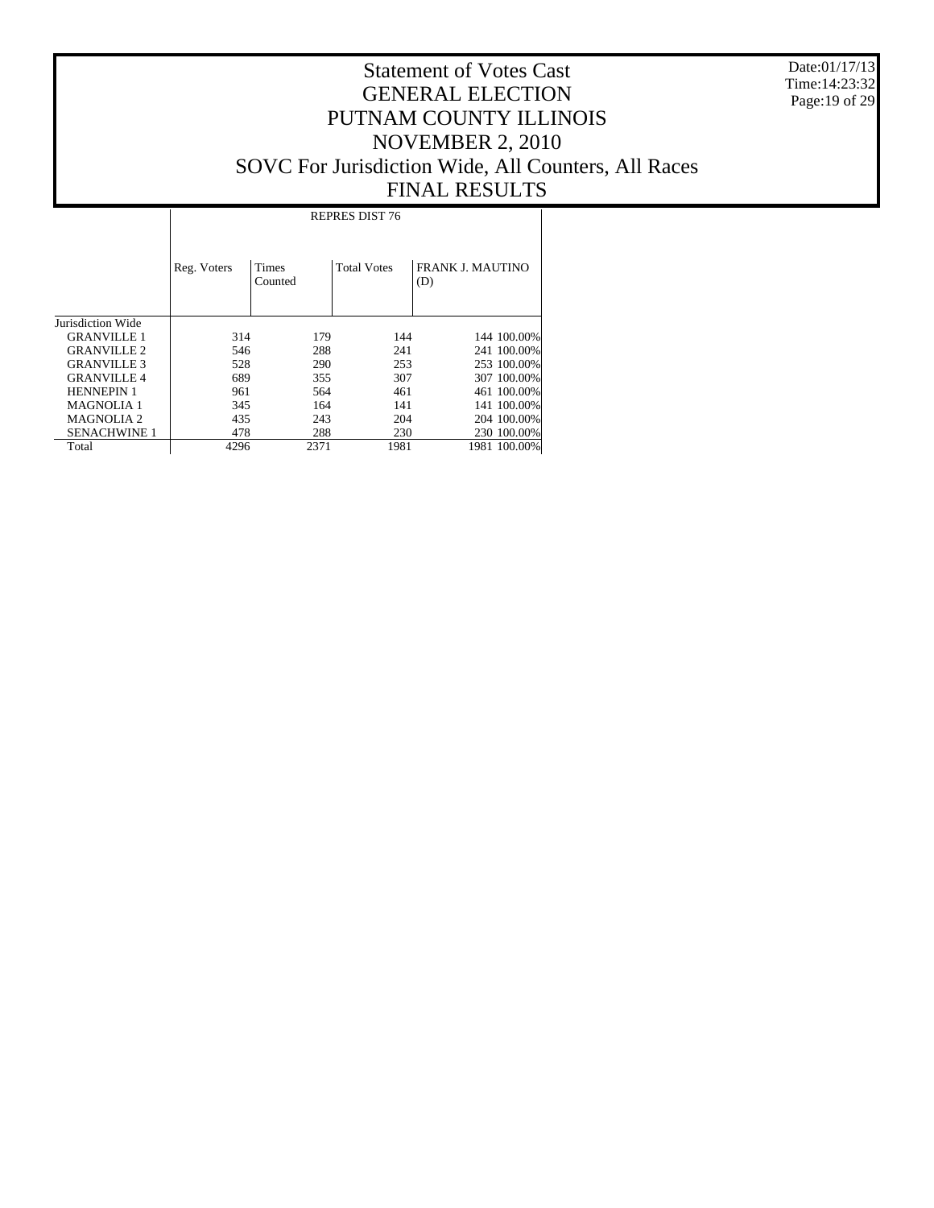Date:01/17/13 Time:14:23:32 Page:19 of 29

#### Statement of Votes Cast GENERAL ELECTION PUTNAM COUNTY ILLINOIS NOVEMBER 2, 2010 SOVC For Jurisdiction Wide, All Counters, All Races FINAL RESULTS

Jurisdiction Wide GRANVILLE 1 GRANVILLE 2 GRANVILLE 3 GRANVILLE 4 HENNEPIN 1 MAGNOLIA 1 MAGNOLIA 2 SENACHWINE 1 Total Reg. Voters | Times Counted Total Votes | FRANK J. MAUTINO (D) REPRES DIST 76 314 179 144 144 100.00%<br>546 288 241 241 100.00% 528 288 241 241 100.00%<br>528 290 253 253 100.00% 528 290 253 253 100.00% 689 355 307 307 100.00% 961 564 461 461 100.00%<br>345 164 141 141 100.00% 345 164 141 141 100.00%<br>435 243 204 204 100.00% 435 243 204 204 100.00%<br>478 288 230 230 100.00% 478 288 230 230 100.00%<br>4296 2371 1981 1981 100.00% 1981 100.00%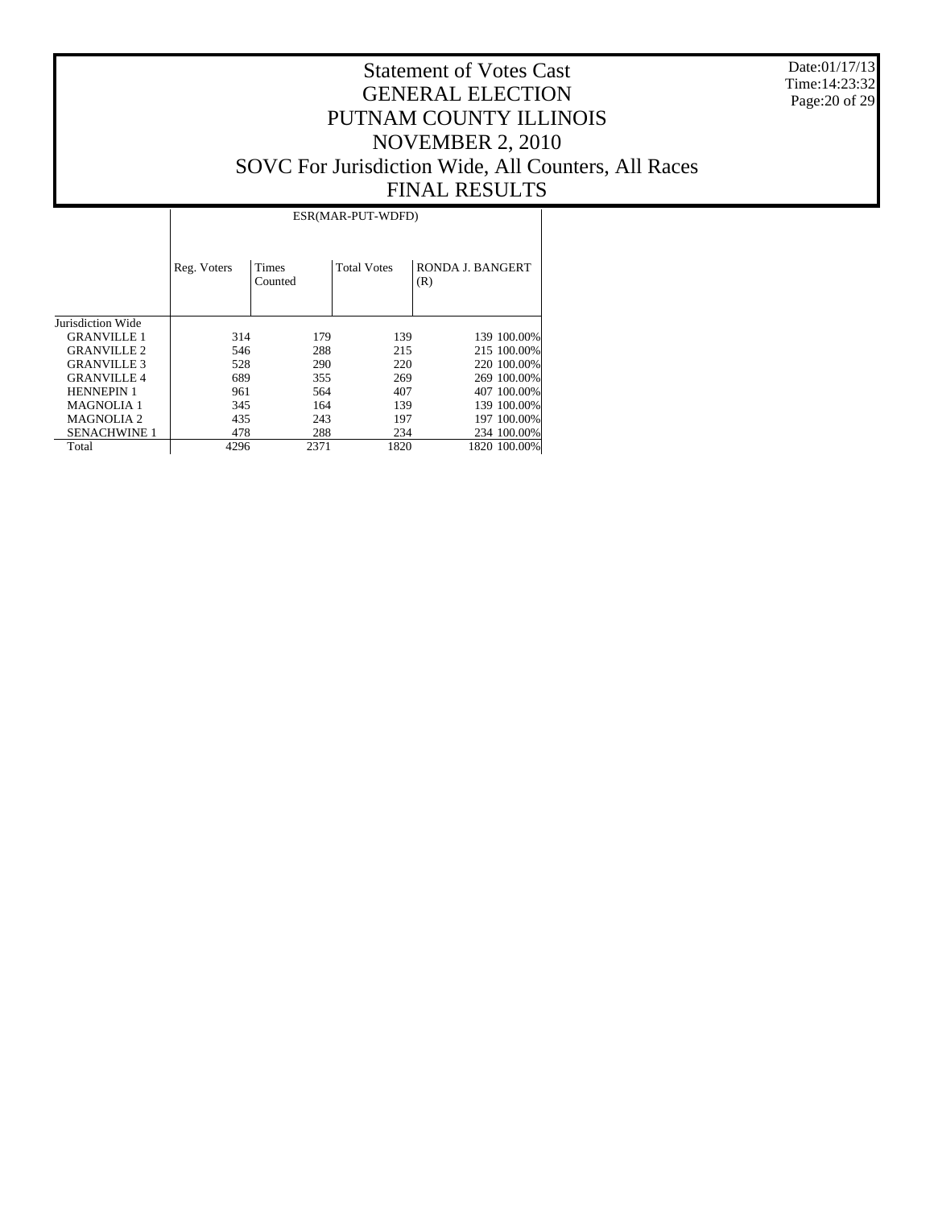Date:01/17/13 Time:14:23:32 Page:20 of 29

|                     |             | ESR(MAR-PUT-WDFD) |                    |                         |  |  |  |  |  |  |  |  |  |
|---------------------|-------------|-------------------|--------------------|-------------------------|--|--|--|--|--|--|--|--|--|
|                     | Reg. Voters | Times<br>Counted  | <b>Total Votes</b> | RONDA J. BANGERT<br>(R) |  |  |  |  |  |  |  |  |  |
| Jurisdiction Wide   |             |                   |                    |                         |  |  |  |  |  |  |  |  |  |
| <b>GRANVILLE 1</b>  | 314         | 179               | 139                | 139 100.00%             |  |  |  |  |  |  |  |  |  |
| <b>GRANVILLE 2</b>  | 546         | 288               | 215                | 215 100,00%             |  |  |  |  |  |  |  |  |  |
| <b>GRANVILLE 3</b>  | 528         | 290               | 220                | 220 100.00%             |  |  |  |  |  |  |  |  |  |
| <b>GRANVILLE4</b>   | 689         | 355               | 269                | 269 100.00%             |  |  |  |  |  |  |  |  |  |
| <b>HENNEPIN 1</b>   | 961         | 564               | 407                | 407 100,00%             |  |  |  |  |  |  |  |  |  |
| <b>MAGNOLIA 1</b>   | 345         | 164               | 139                | 139 100.00%             |  |  |  |  |  |  |  |  |  |
| <b>MAGNOLIA2</b>    | 435         | 243               | 197                | 197 100.00%             |  |  |  |  |  |  |  |  |  |
| <b>SENACHWINE 1</b> | 478         | 288               | 234                | 234 100.00%             |  |  |  |  |  |  |  |  |  |
| Total               | 4296        | 2371              | 1820               | 1820 100.00%            |  |  |  |  |  |  |  |  |  |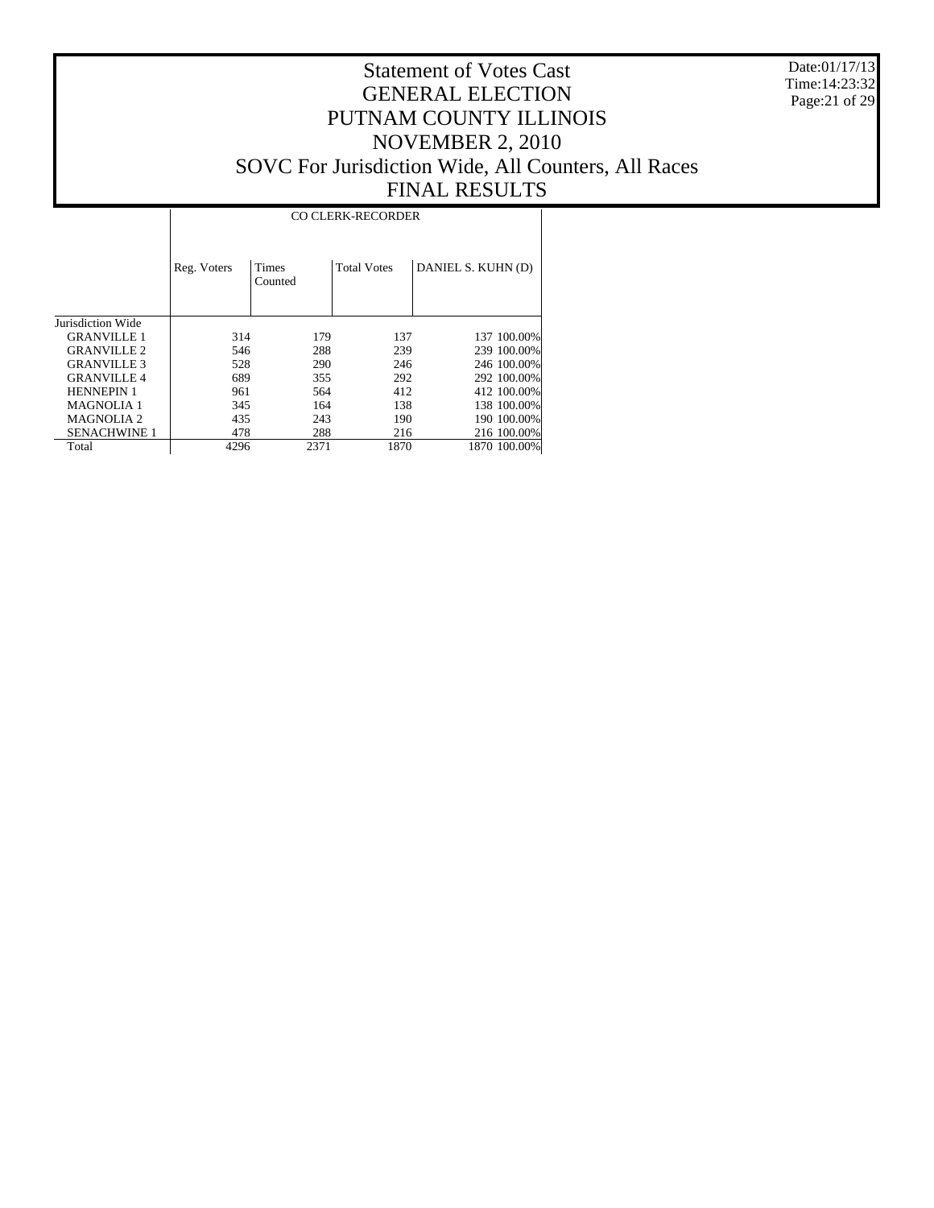Date:01/17/13 Time:14:23:32 Page:21 of 29

|                     |             | <b>CO CLERK-RECORDER</b> |                    |                    |  |  |  |  |  |  |  |  |  |
|---------------------|-------------|--------------------------|--------------------|--------------------|--|--|--|--|--|--|--|--|--|
|                     | Reg. Voters | Times<br>Counted         | <b>Total Votes</b> | DANIEL S. KUHN (D) |  |  |  |  |  |  |  |  |  |
| Jurisdiction Wide   |             |                          |                    |                    |  |  |  |  |  |  |  |  |  |
| <b>GRANVILLE 1</b>  | 314         | 179                      | 137                | 137 100.00%        |  |  |  |  |  |  |  |  |  |
| <b>GRANVILLE 2</b>  | 546         | 288                      | 239                | 239 100.00%        |  |  |  |  |  |  |  |  |  |
| <b>GRANVILLE 3</b>  | 528         | 290                      | 246                | 246 100.00%        |  |  |  |  |  |  |  |  |  |
| <b>GRANVILLE4</b>   | 689         | 355                      | 292                | 292 100.00%        |  |  |  |  |  |  |  |  |  |
| <b>HENNEPIN 1</b>   | 961         | 564                      | 412                | 412 100,00%        |  |  |  |  |  |  |  |  |  |
| <b>MAGNOLIA1</b>    | 345         | 164                      | 138                | 138 100.00%        |  |  |  |  |  |  |  |  |  |
| <b>MAGNOLIA2</b>    | 435         | 243                      | 190                | 190 100.00%        |  |  |  |  |  |  |  |  |  |
| <b>SENACHWINE 1</b> | 478         | 288                      | 216                | 216 100.00%        |  |  |  |  |  |  |  |  |  |
| Total               | 4296        | 2371                     | 1870               | 1870 100.00%       |  |  |  |  |  |  |  |  |  |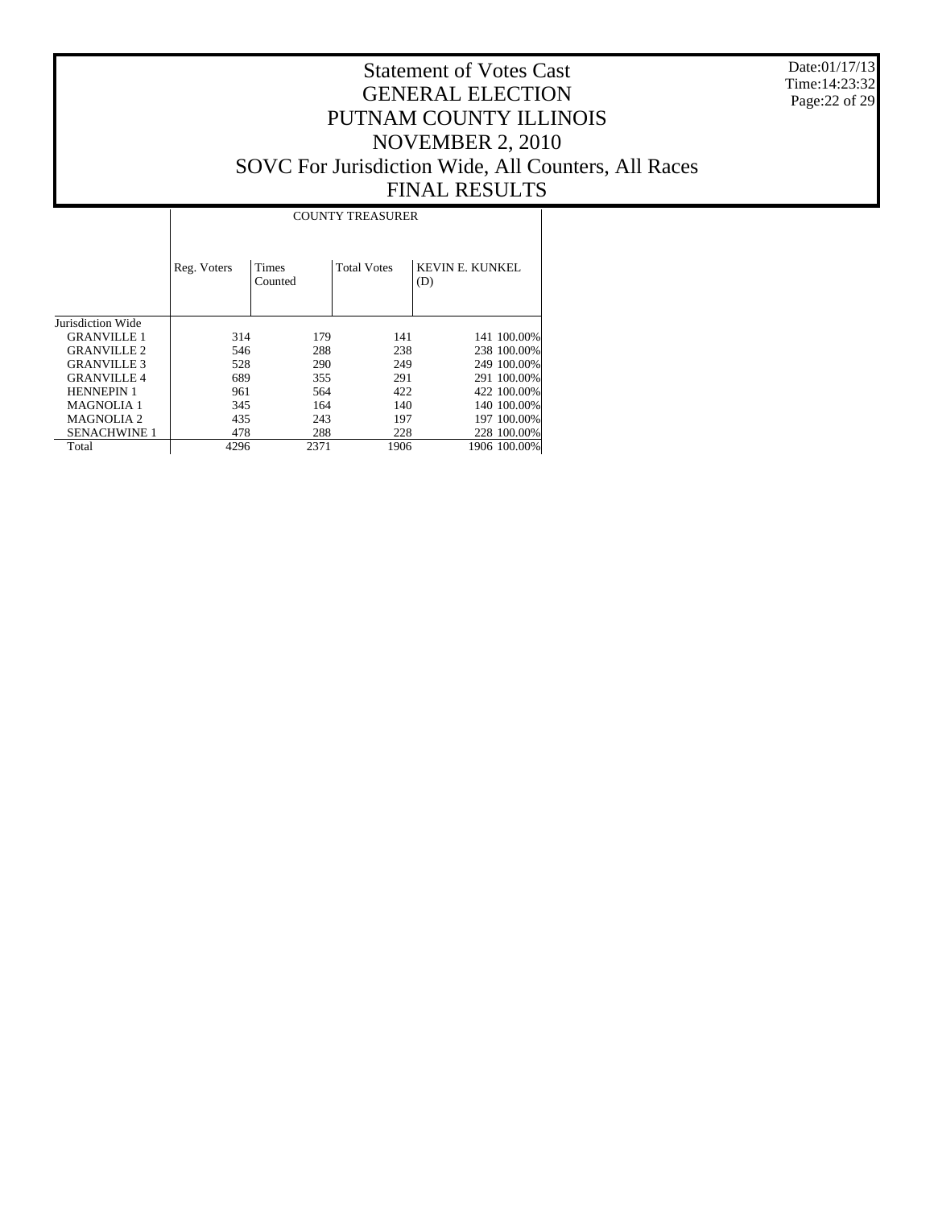Date:01/17/13 Time:14:23:32 Page:22 of 29

|                     |             | <b>COUNTY TREASURER</b> |                    |                               |  |  |  |  |  |  |  |  |  |
|---------------------|-------------|-------------------------|--------------------|-------------------------------|--|--|--|--|--|--|--|--|--|
|                     | Reg. Voters | Times<br>Counted        | <b>Total Votes</b> | <b>KEVIN E. KUNKEL</b><br>(D) |  |  |  |  |  |  |  |  |  |
| Jurisdiction Wide   |             |                         |                    |                               |  |  |  |  |  |  |  |  |  |
| <b>GRANVILLE 1</b>  | 314         | 179                     | 141                | 141 100.00%                   |  |  |  |  |  |  |  |  |  |
| <b>GRANVILLE 2</b>  | 546         | 288                     | 238                | 238 100,00%                   |  |  |  |  |  |  |  |  |  |
| <b>GRANVILLE 3</b>  | 528         | 290                     | 249                | 249 100.00%                   |  |  |  |  |  |  |  |  |  |
| <b>GRANVILLE4</b>   | 689         | 355                     | 291                | 291 100.00%                   |  |  |  |  |  |  |  |  |  |
| <b>HENNEPIN 1</b>   | 961         | 564                     | 422                | 422 100.00%                   |  |  |  |  |  |  |  |  |  |
| <b>MAGNOLIA 1</b>   | 345         | 164                     | 140                | 140 100,00%                   |  |  |  |  |  |  |  |  |  |
| <b>MAGNOLIA2</b>    | 435         | 243                     | 197                | 197 100.00%                   |  |  |  |  |  |  |  |  |  |
| <b>SENACHWINE 1</b> | 478         | 288                     | 228                | 228 100.00%                   |  |  |  |  |  |  |  |  |  |
| Total               | 4296        | 2371                    | 1906               | 1906 100.00%                  |  |  |  |  |  |  |  |  |  |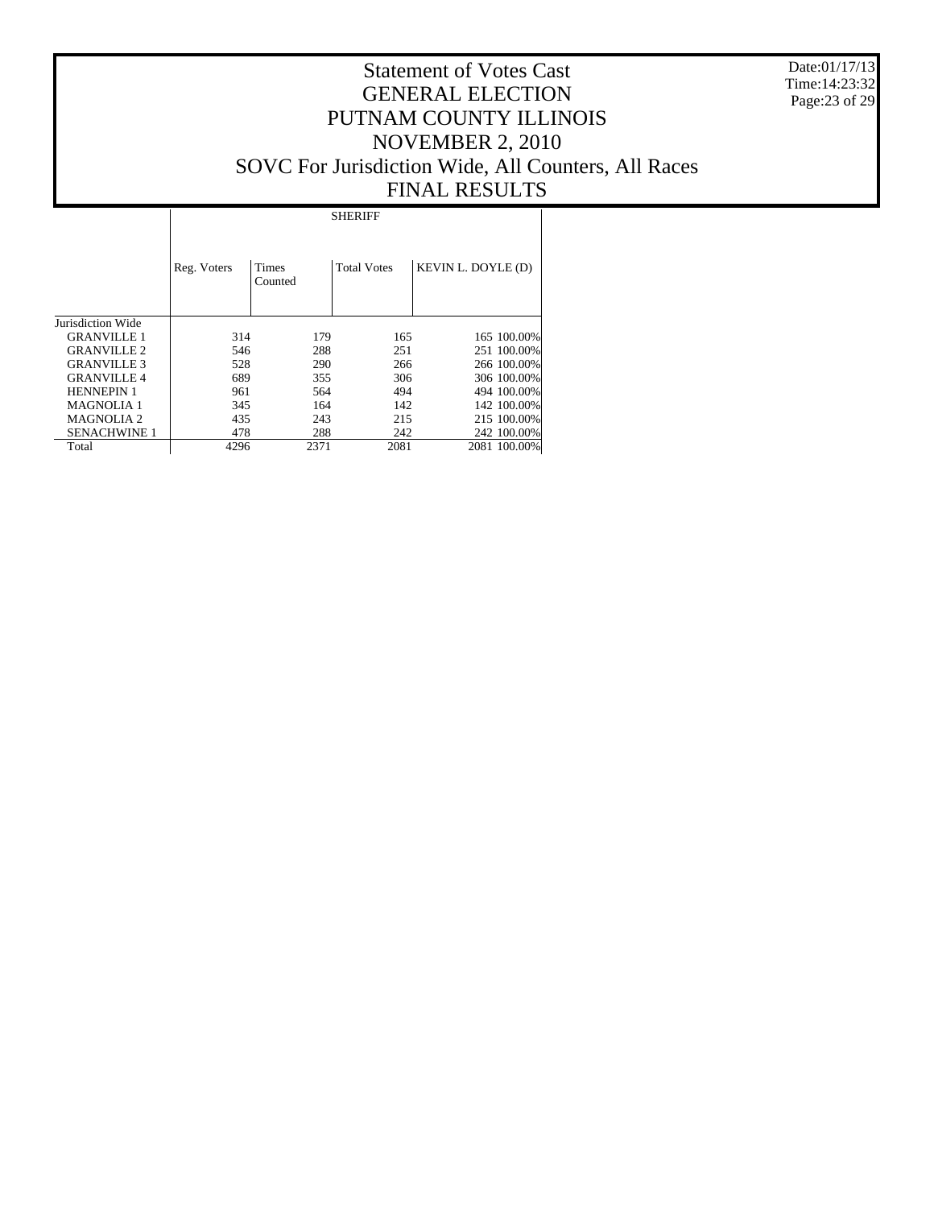Date:01/17/13 Time:14:23:32 Page:23 of 29

#### Statement of Votes Cast GENERAL ELECTION PUTNAM COUNTY ILLINOIS NOVEMBER 2, 2010 SOVC For Jurisdiction Wide, All Counters, All Races FINAL RESULTS

Jurisdiction Wide GRANVILLE 1 GRANVILLE 2 GRANVILLE 3 GRANVILLE 4 HENNEPIN 1 MAGNOLIA 1 MAGNOLIA 2 SENACHWINE 1 Total Reg. Voters | Times Counted Total Votes | KEVIN L. DOYLE (D) SHERIFF 314 179 165 165 100.00%<br>546 288 251 251 100.00% 546 288 251 251 100.00% 528 290 266 266 100.00% 689 355 306 306 100.00% 494 494 100.00%<br>142 142 100.00% 345 164 142 142 100.00%<br>435 243 215 215 100.00% 413 215 215 215 215 216 216 218 218 218 218 217 218 218 219 212 212 213 214 214 215 216 217 217 218 218 219 21  $\begin{array}{cccccc} 478 & & 288 & & 242 & & 242 & 100.00\% \\ 4296 & & 2371 & & 2081 & & 2081 & 100.00\% \end{array}$ 2081 100.00%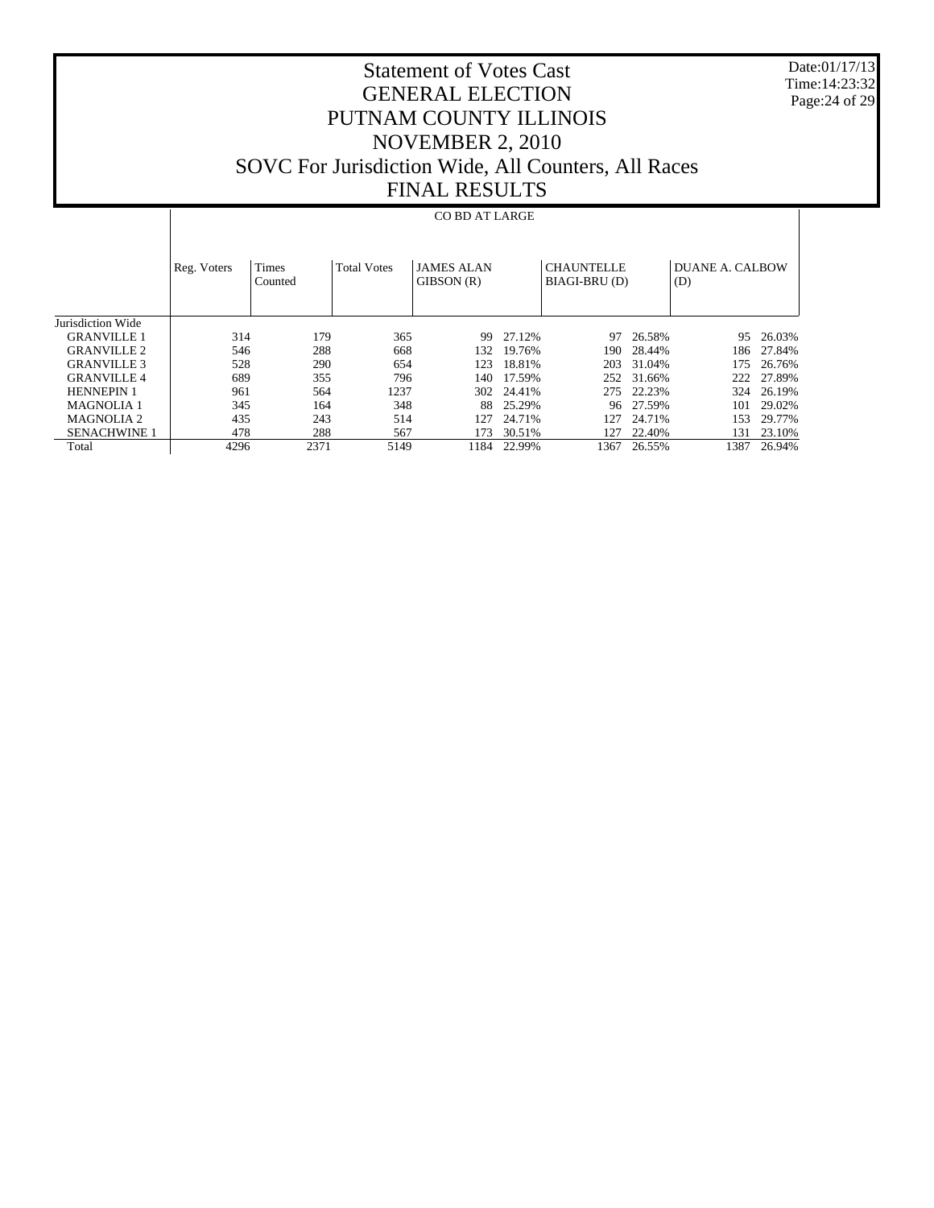Date:01/17/13 Time:14:23:32 Page:24 of 29

# Statement of Votes Cast GENERAL ELECTION PUTNAM COUNTY ILLINOIS NOVEMBER 2, 2010 SOVC For Jurisdiction Wide, All Counters, All Races FINAL RESULTS

#### CO BD AT LARGE

|                     | Reg. Voters | <b>Times</b><br>Counted | <b>Total Votes</b> | <b>JAMES ALAN</b><br>GIBSON (R) |        | <b>CHAUNTELLE</b><br>BIAGI-BRU (D) |        | DUANE A. CALBOW<br>(D) |        |
|---------------------|-------------|-------------------------|--------------------|---------------------------------|--------|------------------------------------|--------|------------------------|--------|
| Jurisdiction Wide   |             |                         |                    |                                 |        |                                    |        |                        |        |
| <b>GRANVILLE 1</b>  | 314         | 179                     | 365                | 99                              | 27.12% | 97                                 | 26.58% | 95                     | 26.03% |
| <b>GRANVILLE 2</b>  | 546         | 288                     | 668                | 132.                            | 19.76% | 190.                               | 28.44% | 186                    | 27.84% |
| <b>GRANVILLE 3</b>  | 528         | 290                     | 654                | 123                             | 18.81% | 203                                | 31.04% | 175                    | 26.76% |
| <b>GRANVILLE4</b>   | 689         | 355                     | 796                | 140.                            | 17.59% | 252                                | 31.66% | 222                    | 27.89% |
| <b>HENNEPIN 1</b>   | 961         | 564                     | 1237               | 302                             | 24.41% | 275                                | 22.23% | 324                    | 26.19% |
| <b>MAGNOLIA 1</b>   | 345         | 164                     | 348                | 88.                             | 25.29% | 96.                                | 27.59% | 101                    | 29.02% |
| MAGNOLIA 2          | 435         | 243                     | 514                | 127                             | 24.71% | 127                                | 24.71% | 153                    | 29.77% |
| <b>SENACHWINE 1</b> | 478         | 288                     | 567                | 173                             | 30.51% | 127                                | 22.40% | 131                    | 23.10% |
| Total               | 4296        | 2371                    | 5149               | 1184                            | 22.99% | 1367                               | 26.55% | 1387                   | 26.94% |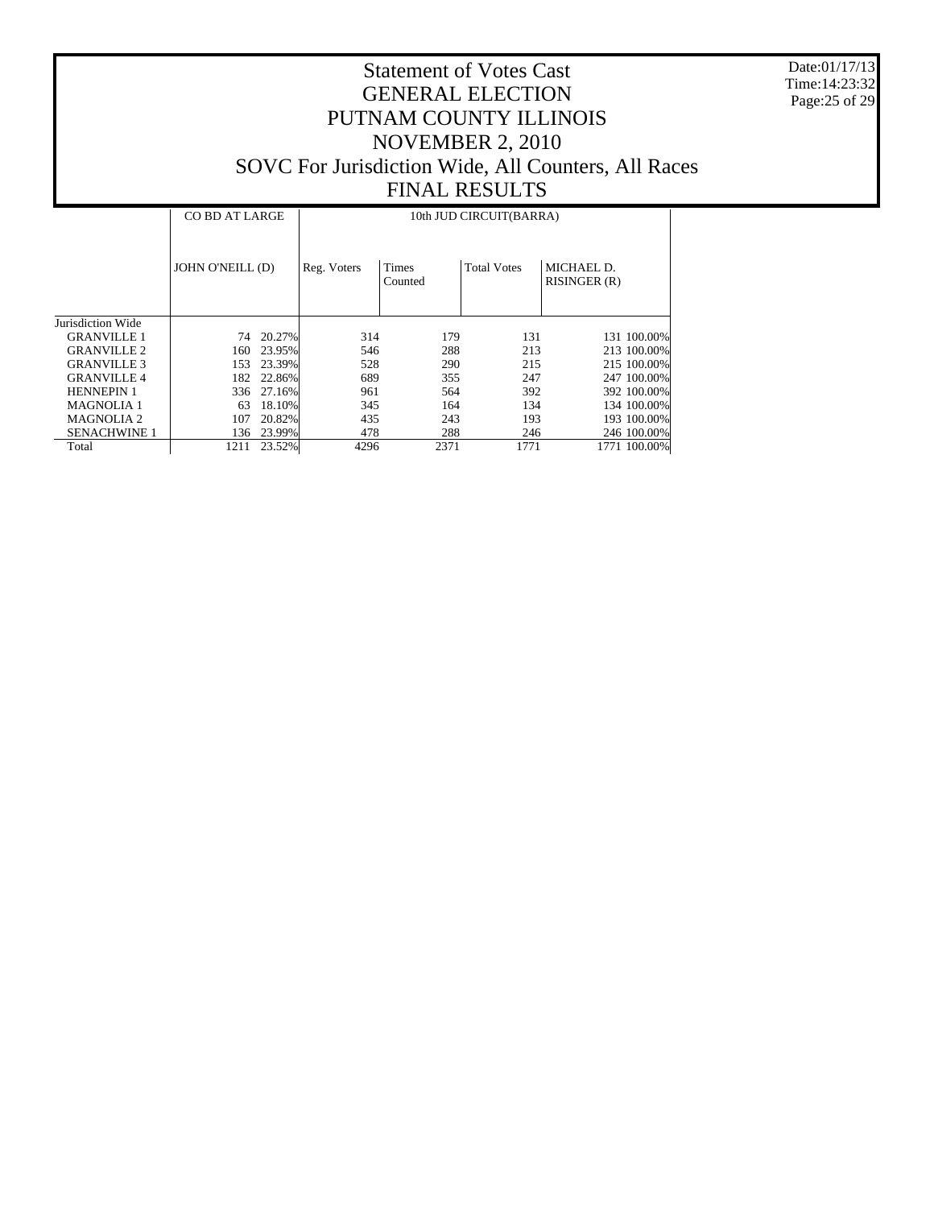Date:01/17/13 Time:14:23:32 Page:25 of 29

|                     |                  | <b>CO BD AT LARGE</b> |             | 10th JUD CIRCUIT(BARRA) |                    |                            |  |  |  |  |
|---------------------|------------------|-----------------------|-------------|-------------------------|--------------------|----------------------------|--|--|--|--|
|                     | JOHN O'NEILL (D) |                       | Reg. Voters | <b>Times</b><br>Counted | <b>Total Votes</b> | MICHAEL D.<br>RISINGER (R) |  |  |  |  |
| Jurisdiction Wide   |                  |                       |             |                         |                    |                            |  |  |  |  |
| <b>GRANVILLE 1</b>  | 74               | 20.27%                | 314         | 179                     | 131                | 131 100.00%                |  |  |  |  |
| <b>GRANVILLE 2</b>  | 160.             | 23.95%                | 546         | 288                     | 213                | 213 100,00%                |  |  |  |  |
| <b>GRANVILLE 3</b>  | 153              | 23.39%                | 528         | 290                     | 215                | 215 100,00%                |  |  |  |  |
| <b>GRANVILLE4</b>   | 182              | 22.86%                | 689         | 355                     | 247                | 247 100.00%                |  |  |  |  |
| <b>HENNEPIN 1</b>   |                  | 336 27.16%            | 961         | 564                     | 392                | 392 100.00%                |  |  |  |  |
| <b>MAGNOLIA 1</b>   | 63               | 18.10%                | 345         | 164                     | 134                | 134 100.00%                |  |  |  |  |
| <b>MAGNOLIA 2</b>   | 107              | 20.82%                | 435         | 243                     | 193                | 193 100.00%                |  |  |  |  |
| <b>SENACHWINE 1</b> | 136              | 23.99%                | 478         | 288                     | 246                | 246 100.00%                |  |  |  |  |
| Total               | 1211             | 23.52%                | 4296        | 2371                    | 1771               | 1771 100.00%               |  |  |  |  |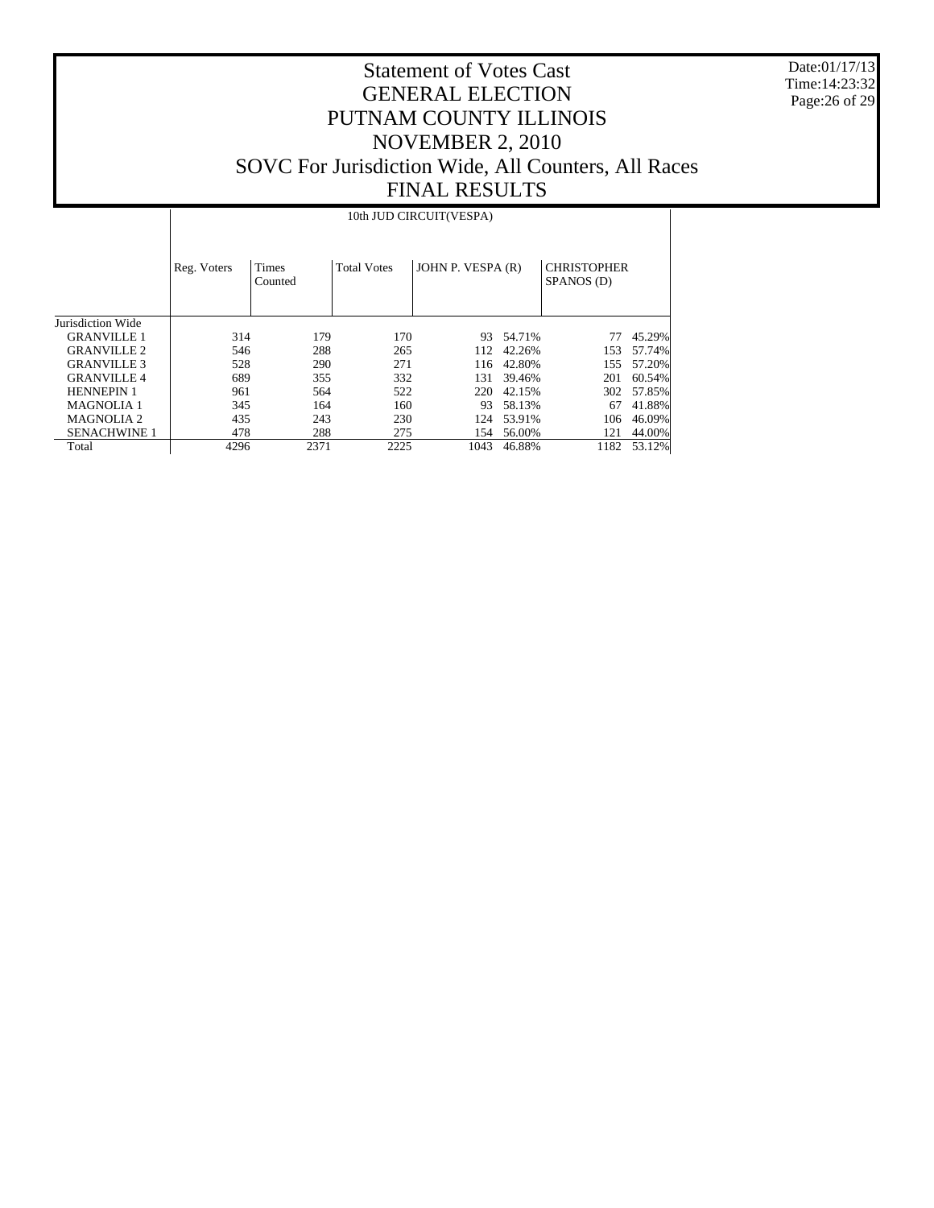Date:01/17/13 Time:14:23:32 Page:26 of 29

# Statement of Votes Cast GENERAL ELECTION PUTNAM COUNTY ILLINOIS NOVEMBER 2, 2010 SOVC For Jurisdiction Wide, All Counters, All Races FINAL RESULTS

#### 10th JUD CIRCUIT(VESPA)

|                     | Reg. Voters | <b>Times</b><br>Counted | <b>Total Votes</b> | JOHN P. VESPA (R) |        | <b>CHRISTOPHER</b><br>SPANOS (D) |        |
|---------------------|-------------|-------------------------|--------------------|-------------------|--------|----------------------------------|--------|
| Jurisdiction Wide   |             |                         |                    |                   |        |                                  |        |
| <b>GRANVILLE 1</b>  | 314         | 179                     | 170                | 93                | 54.71% |                                  | 45.29% |
| <b>GRANVILLE 2</b>  | 546         | 288                     | 265                | 112               | 42.26% | 153                              | 57.74% |
| <b>GRANVILLE 3</b>  | 528         | 290                     | 271                | 116               | 42.80% | 155                              | 57.20% |
| <b>GRANVILLE 4</b>  | 689         | 355                     | 332                | 131               | 39.46% | 201                              | 60.54% |
| <b>HENNEPIN 1</b>   | 961         | 564                     | 522                | 220               | 42.15% | 302                              | 57.85% |
| <b>MAGNOLIA 1</b>   | 345         | 164                     | 160                | 93                | 58.13% | 67                               | 41.88% |
| <b>MAGNOLIA 2</b>   | 435         | 243                     | 230                | 124               | 53.91% | 106                              | 46.09% |
| <b>SENACHWINE 1</b> | 478         | 288                     | 275                | 154               | 56.00% | 121                              | 44.00% |
| Total               | 4296        | 2371                    | 2225               | 1043              | 46.88% | 1182                             | 53.12% |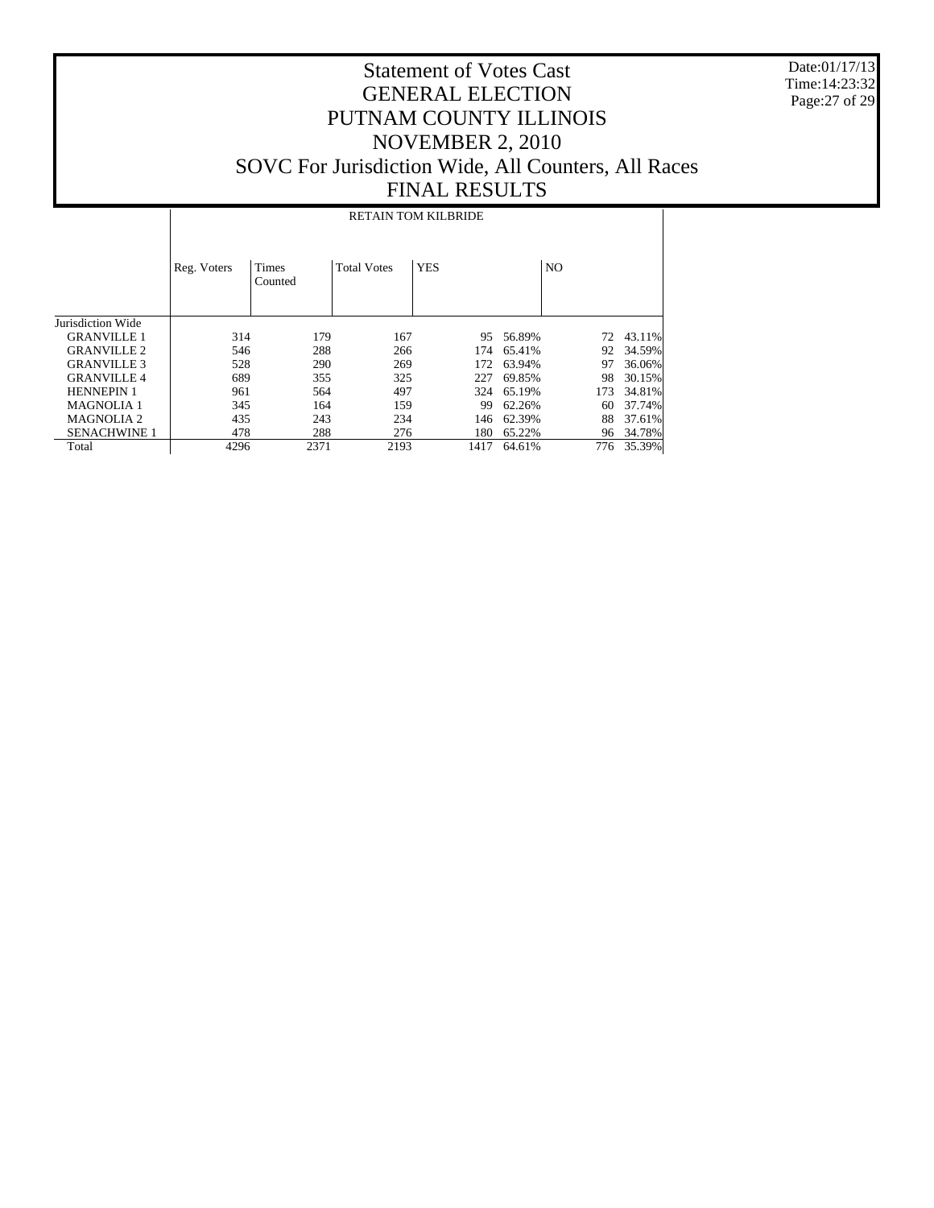Date:01/17/13 Time:14:23:32 Page:27 of 29

#### Statement of Votes Cast GENERAL ELECTION PUTNAM COUNTY ILLINOIS NOVEMBER 2, 2010 SOVC For Jurisdiction Wide, All Counters, All Races FINAL RESULTS

Jurisdiction Wide GRANVILLE 1 GRANVILLE 2 GRANVILLE 3 GRANVILLE 4 HENNEPIN 1 MAGNOLIA 1 MAGNOLIA 2 SENACHWINE 1 Total Reg. Voters | Times Counted Total Votes | YES | NO RETAIN TOM KILBRIDE 314 179 167 95 56.89% 72 43.11%<br>546 288 266 174 65.41% 92 34.59% 546 288 266 174 65.41% 92 34.59% 528 290 269 172 63.94% 97 36.06% 689 355 325 227 69.85% 98 30.15% 324 65.19% 345 164 159 99 62.26% 60 37.74%<br>435 243 234 146 62.39% 88 37.61% 435 243 234 146 62.39% 88 37.61%<br>478 288 276 180 65.22% 96 34.78% 178 288 276 180 65.22% 96 34.78%<br>
4296 2371 2193 1417 64.61% 776 35.39% 1417 64.61%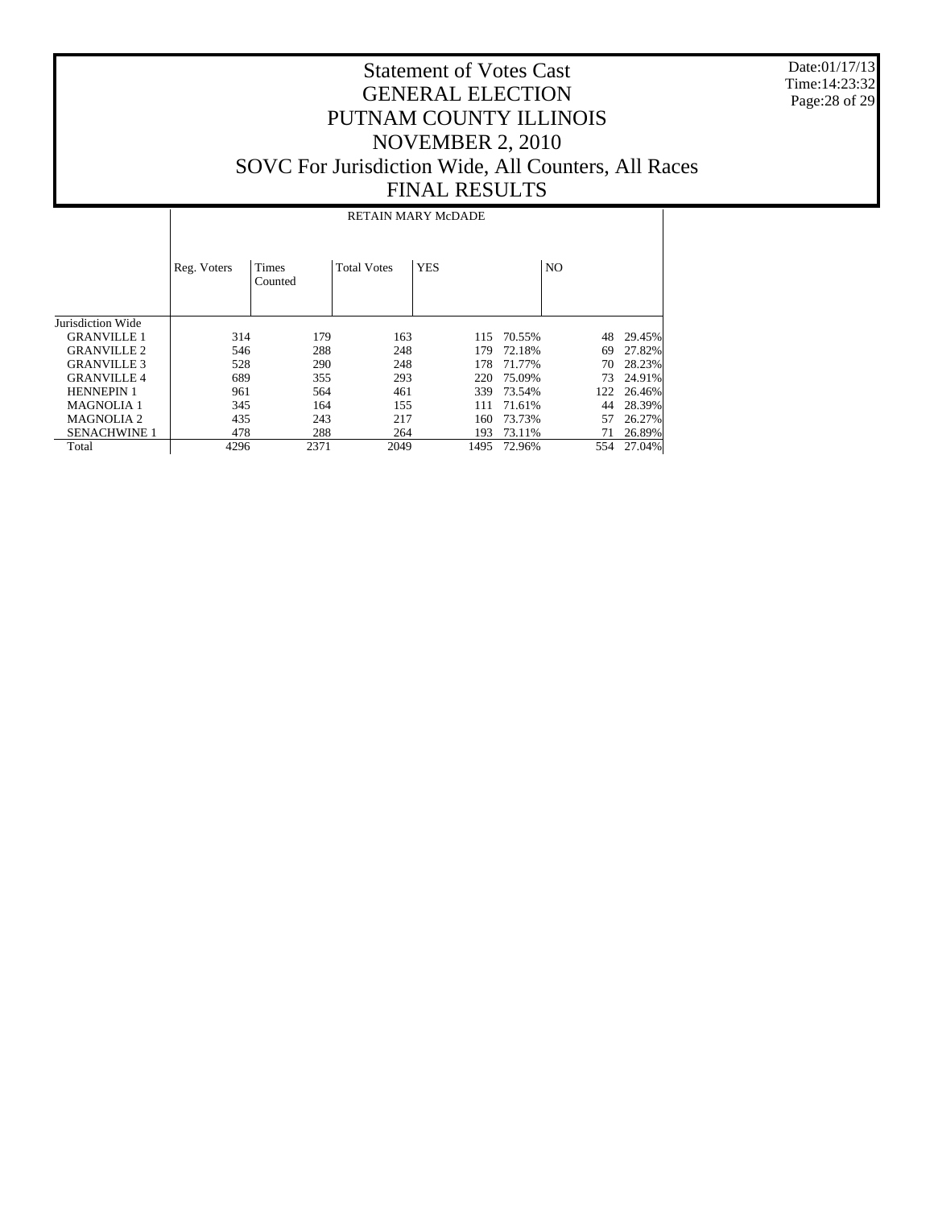Date:01/17/13 Time:14:23:32 Page:28 of 29

|                     | RETAIN MARY McDADE |                  |                    |            |        |                |        |  |  |  |  |
|---------------------|--------------------|------------------|--------------------|------------|--------|----------------|--------|--|--|--|--|
|                     | Reg. Voters        | Times<br>Counted | <b>Total Votes</b> | <b>YES</b> |        | N <sub>O</sub> |        |  |  |  |  |
| Jurisdiction Wide   |                    |                  |                    |            |        |                |        |  |  |  |  |
| <b>GRANVILLE 1</b>  | 314                | 179              | 163                | 115        | 70.55% | 48             | 29.45% |  |  |  |  |
| <b>GRANVILLE 2</b>  | 546                | 288              | 248                | 179        | 72.18% | 69             | 27.82% |  |  |  |  |
| <b>GRANVILLE 3</b>  | 528                | 290              | 248                | 178        | 71.77% | 70             | 28.23% |  |  |  |  |
| <b>GRANVILLE4</b>   | 689                | 355              | 293                | 220        | 75.09% | 73             | 24.91% |  |  |  |  |
| <b>HENNEPIN 1</b>   | 961                | 564              | 461                | 339        | 73.54% | 122            | 26.46% |  |  |  |  |
| <b>MAGNOLIA 1</b>   | 345                | 164              | 155                | 111        | 71.61% | 44             | 28.39% |  |  |  |  |
| <b>MAGNOLIA 2</b>   | 435                | 243              | 217                | 160        | 73.73% | 57             | 26.27% |  |  |  |  |
| <b>SENACHWINE 1</b> | 478                | 288              | 264                | 193        | 73.11% | 71             | 26.89% |  |  |  |  |
| Total               | 4296               | 2371             | 2049               | 1495       | 72.96% | 554            | 27.04% |  |  |  |  |